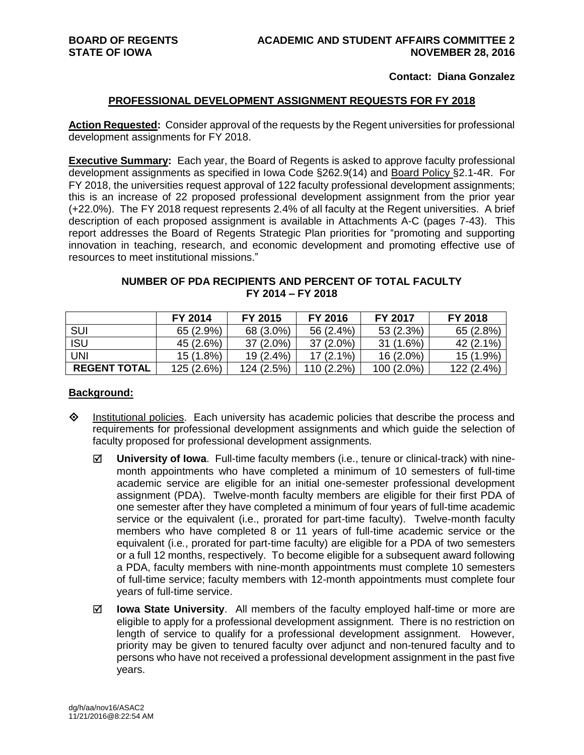#### **Contact: Diana Gonzalez**

#### **PROFESSIONAL DEVELOPMENT ASSIGNMENT REQUESTS FOR FY 2018**

**Action Requested:** Consider approval of the requests by the Regent universities for professional development assignments for FY 2018.

**Executive Summary:** Each year, the Board of Regents is asked to approve faculty professional development assignments as specified in Iowa Code §262.9(14) and Board Policy §2.1-4R. For FY 2018, the universities request approval of 122 faculty professional development assignments; this is an increase of 22 proposed professional development assignment from the prior year (+22.0%). The FY 2018 request represents 2.4% of all faculty at the Regent universities. A brief description of each proposed assignment is available in Attachments A-C (pages 7-43). This report addresses the Board of Regents Strategic Plan priorities for "promoting and supporting innovation in teaching, research, and economic development and promoting effective use of resources to meet institutional missions."

# **NUMBER OF PDA RECIPIENTS AND PERCENT OF TOTAL FACULTY FY 2014 – FY 2018**

|                     | FY 2014    | FY 2015     | FY 2016      | <b>FY 2017</b> | <b>FY 2018</b> |
|---------------------|------------|-------------|--------------|----------------|----------------|
| SUI                 | 65 (2.9%)  | 68 (3.0%)   | 56 (2.4%)    | 53 (2.3%)      | 65 (2.8%)      |
| <b>ISU</b>          | 45 (2.6%)  | $37(2.0\%)$ | $37(2.0\%)$  | 31 (1.6%)      | 42 (2.1%)      |
| <b>UNI</b>          | 15 (1.8%)  | $19(2.4\%)$ | $17(2.1\%)$  | $16(2.0\%)$    | 15 (1.9%)      |
| <b>REGENT TOTAL</b> | 125 (2.6%) | 124 (2.5%)  | $110(2.2\%)$ | $100(2.0\%)$   | 122 (2.4%)     |

#### **Background:**

- $\Diamond$  Institutional policies. Each university has academic policies that describe the process and requirements for professional development assignments and which guide the selection of faculty proposed for professional development assignments.
	- **University of Iowa**. Full-time faculty members (i.e., tenure or clinical-track) with ninemonth appointments who have completed a minimum of 10 semesters of full-time academic service are eligible for an initial one-semester professional development assignment (PDA). Twelve-month faculty members are eligible for their first PDA of one semester after they have completed a minimum of four years of full-time academic service or the equivalent (i.e., prorated for part-time faculty). Twelve-month faculty members who have completed 8 or 11 years of full-time academic service or the equivalent (i.e*.*, prorated for part-time faculty) are eligible for a PDA of two semesters or a full 12 months, respectively. To become eligible for a subsequent award following a PDA, faculty members with nine-month appointments must complete 10 semesters of full-time service; faculty members with 12-month appointments must complete four years of full-time service.
	- **Iowa State University**. All members of the faculty employed half-time or more are eligible to apply for a professional development assignment. There is no restriction on length of service to qualify for a professional development assignment. However, priority may be given to tenured faculty over adjunct and non-tenured faculty and to persons who have not received a professional development assignment in the past five years.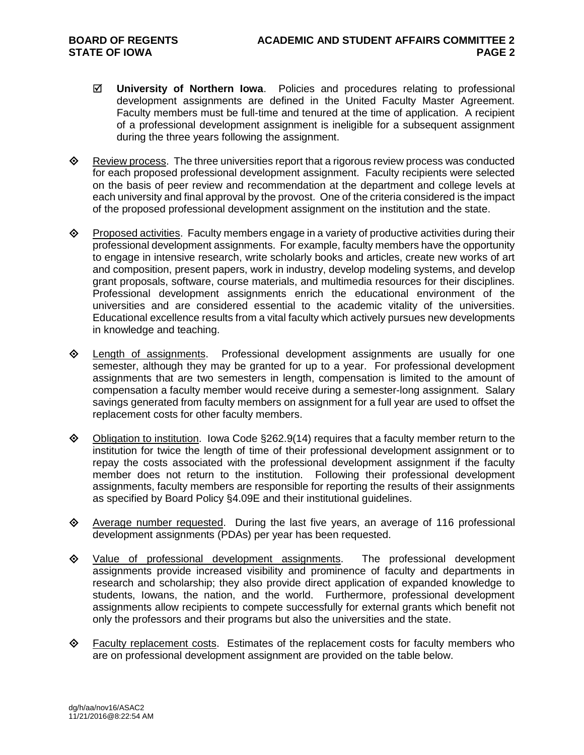- **University of Northern Iowa**. Policies and procedures relating to professional development assignments are defined in the United Faculty Master Agreement. Faculty members must be full-time and tenured at the time of application. A recipient of a professional development assignment is ineligible for a subsequent assignment during the three years following the assignment.
- $\Diamond$  Review process. The three universities report that a rigorous review process was conducted for each proposed professional development assignment. Faculty recipients were selected on the basis of peer review and recommendation at the department and college levels at each university and final approval by the provost. One of the criteria considered is the impact of the proposed professional development assignment on the institution and the state.
- $\diamond$  Proposed activities. Faculty members engage in a variety of productive activities during their professional development assignments. For example, faculty members have the opportunity to engage in intensive research, write scholarly books and articles, create new works of art and composition, present papers, work in industry, develop modeling systems, and develop grant proposals, software, course materials, and multimedia resources for their disciplines. Professional development assignments enrich the educational environment of the universities and are considered essential to the academic vitality of the universities. Educational excellence results from a vital faculty which actively pursues new developments in knowledge and teaching.
- $\diamond$  Length of assignments. Professional development assignments are usually for one semester, although they may be granted for up to a year. For professional development assignments that are two semesters in length, compensation is limited to the amount of compensation a faculty member would receive during a semester-long assignment. Salary savings generated from faculty members on assignment for a full year are used to offset the replacement costs for other faculty members.
- $\Diamond$  Obligation to institution. Iowa Code §262.9(14) requires that a faculty member return to the institution for twice the length of time of their professional development assignment or to repay the costs associated with the professional development assignment if the faculty member does not return to the institution. Following their professional development assignments, faculty members are responsible for reporting the results of their assignments as specified by Board Policy §4.09E and their institutional guidelines.
- $\Diamond$  Average number requested. During the last five years, an average of 116 professional development assignments (PDAs) per year has been requested.
- Value of professional development assignments. The professional development assignments provide increased visibility and prominence of faculty and departments in research and scholarship; they also provide direct application of expanded knowledge to students, Iowans, the nation, and the world. Furthermore, professional development assignments allow recipients to compete successfully for external grants which benefit not only the professors and their programs but also the universities and the state.
- $\Diamond$  Faculty replacement costs. Estimates of the replacement costs for faculty members who are on professional development assignment are provided on the table below.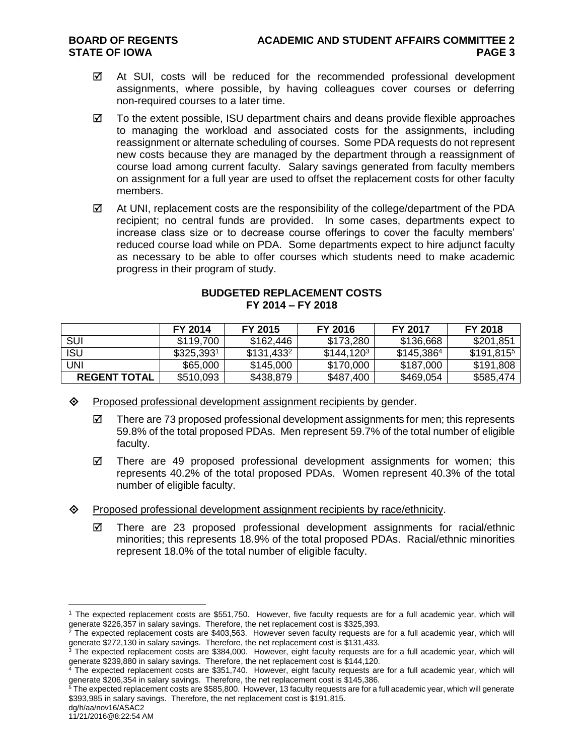- $\boxtimes$  At SUI, costs will be reduced for the recommended professional development assignments, where possible, by having colleagues cover courses or deferring non-required courses to a later time.
- $\boxtimes$  To the extent possible, ISU department chairs and deans provide flexible approaches to managing the workload and associated costs for the assignments, including reassignment or alternate scheduling of courses. Some PDA requests do not represent new costs because they are managed by the department through a reassignment of course load among current faculty. Salary savings generated from faculty members on assignment for a full year are used to offset the replacement costs for other faculty members.
- $\boxtimes$  At UNI, replacement costs are the responsibility of the college/department of the PDA recipient; no central funds are provided. In some cases, departments expect to increase class size or to decrease course offerings to cover the faculty members' reduced course load while on PDA. Some departments expect to hire adjunct faculty as necessary to be able to offer courses which students need to make academic progress in their program of study.

| <b>BUDGETED REPLACEMENT COSTS</b> |                   |  |
|-----------------------------------|-------------------|--|
|                                   | FY 2014 - FY 2018 |  |

|                     | FY 2014      | FY 2015      | FY 2016      | <b>FY 2017</b> | FY 2018      |
|---------------------|--------------|--------------|--------------|----------------|--------------|
| SUI                 | \$119,700    | \$162,446    | \$173,280    | \$136,668      | \$201,851    |
| <b>ISU</b>          | $$325,393^1$ | $$131,433^2$ | $$144,120^3$ | $$145,386^4$   | $$191,815^5$ |
| <b>UNI</b>          | \$65,000     | \$145,000    | \$170,000    | \$187,000      | \$191,808    |
| <b>REGENT TOTAL</b> | \$510,093    | \$438,879    | \$487,400    | \$469,054      | \$585,474    |

- $\diamond$  Proposed professional development assignment recipients by gender.
	- $\boxtimes$  There are 73 proposed professional development assignments for men; this represents 59.8% of the total proposed PDAs. Men represent 59.7% of the total number of eligible faculty.
	- $\boxtimes$  There are 49 proposed professional development assignments for women; this represents 40.2% of the total proposed PDAs. Women represent 40.3% of the total number of eligible faculty.
- $\diamond$  Proposed professional development assignment recipients by race/ethnicity.
	- $\boxtimes$  There are 23 proposed professional development assignments for racial/ethnic minorities; this represents 18.9% of the total proposed PDAs. Racial/ethnic minorities represent 18.0% of the total number of eligible faculty.

dg/h/aa/nov16/ASAC2

 $\overline{a}$ 

<sup>1</sup> The expected replacement costs are \$551,750. However, five faculty requests are for a full academic year, which will generate \$226,357 in salary savings. Therefore, the net replacement cost is \$325,393.

 $^2$  The expected replacement costs are \$403,563. However seven faculty requests are for a full academic year, which will generate \$272,130 in salary savings. Therefore, the net replacement cost is \$131,433.

 $3$  The expected replacement costs are \$384,000. However, eight faculty requests are for a full academic year, which will generate \$239,880 in salary savings. Therefore, the net replacement cost is \$144,120.

<sup>4</sup> The expected replacement costs are \$351,740. However, eight faculty requests are for a full academic year, which will generate \$206,354 in salary savings. Therefore, the net replacement cost is \$145,386.

 $5$  The expected replacement costs are \$585,800. However, 13 faculty requests are for a full academic year, which will generate \$393,985 in salary savings. Therefore, the net replacement cost is \$191,815.

<sup>11/21/2016@8:22:54</sup> AM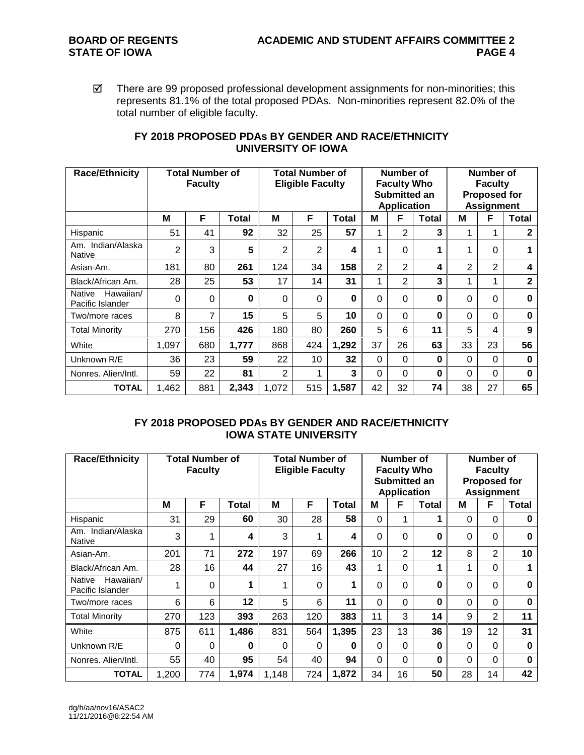$\boxtimes$  There are 99 proposed professional development assignments for non-minorities; this represents 81.1% of the total proposed PDAs. Non-minorities represent 82.0% of the total number of eligible faculty.

| <b>Race/Ethnicity</b>                          | <b>Total Number of</b><br><b>Faculty</b> |                |              | <b>Total Number of</b><br><b>Eligible Faculty</b> |     |              |          | Number of<br><b>Faculty Who</b><br>Submitted an<br><b>Application</b> |              | Number of<br><b>Faculty</b><br><b>Proposed for</b><br><b>Assignment</b> |                |              |
|------------------------------------------------|------------------------------------------|----------------|--------------|---------------------------------------------------|-----|--------------|----------|-----------------------------------------------------------------------|--------------|-------------------------------------------------------------------------|----------------|--------------|
|                                                | M                                        | F              | <b>Total</b> | М                                                 | F   | <b>Total</b> | М        | F                                                                     | <b>Total</b> | М                                                                       | F              | Total        |
| Hispanic                                       | 51                                       | 41             | 92           | 32                                                | 25  | 57           | 1        | $\overline{2}$                                                        | 3            | 1                                                                       | 1              | $\mathbf{2}$ |
| Am. Indian/Alaska<br>Native                    | 2                                        | 3              | 5            | 2                                                 | 2   | 4            | 1        | $\Omega$                                                              | 1            | 1                                                                       | 0              | 1            |
| Asian-Am.                                      | 181                                      | 80             | 261          | 124                                               | 34  | 158          | 2        | $\overline{2}$                                                        | 4            | 2                                                                       | $\overline{2}$ | 4            |
| Black/African Am.                              | 28                                       | 25             | 53           | 17                                                | 14  | 31           | 1        | $\overline{2}$                                                        | 3            | 1                                                                       | 1              | $\mathbf{2}$ |
| Hawaiian/<br><b>Native</b><br>Pacific Islander | $\Omega$                                 | $\mathbf 0$    | $\bf{0}$     | $\Omega$                                          | 0   | 0            | 0        | $\Omega$                                                              | 0            | 0                                                                       | 0              | 0            |
| Two/more races                                 | 8                                        | $\overline{7}$ | 15           | 5                                                 | 5   | 10           | $\Omega$ | $\Omega$                                                              | 0            | $\Omega$                                                                | $\Omega$       | $\bf{0}$     |
| <b>Total Minority</b>                          | 270                                      | 156            | 426          | 180                                               | 80  | 260          | 5        | 6                                                                     | 11           | 5                                                                       | 4              | 9            |
| White                                          | 1,097                                    | 680            | 1,777        | 868                                               | 424 | 1,292        | 37       | 26                                                                    | 63           | 33                                                                      | 23             | 56           |
| Unknown R/E                                    | 36                                       | 23             | 59           | 22                                                | 10  | 32           | $\Omega$ | $\Omega$                                                              | 0            | 0                                                                       | $\Omega$       | $\bf{0}$     |
| Nonres, Alien/Intl.                            | 59                                       | 22             | 81           | 2                                                 | 1   | 3            | 0        | $\Omega$                                                              | 0            | 0                                                                       | 0              | $\bf{0}$     |
| <b>TOTAL</b>                                   | 1.462                                    | 881            | 2,343        | 1,072                                             | 515 | 1,587        | 42       | 32                                                                    | 74           | 38                                                                      | 27             | 65           |

# **FY 2018 PROPOSED PDAs BY GENDER AND RACE/ETHNICITY UNIVERSITY OF IOWA**

# **FY 2018 PROPOSED PDAs BY GENDER AND RACE/ETHNICITY IOWA STATE UNIVERSITY**

| <b>Race/Ethnicity</b>                   | <b>Total Number of</b><br><b>Faculty</b> |          |              | <b>Total Number of</b><br><b>Eligible Faculty</b> |     |              |          | Number of<br><b>Faculty Who</b><br>Submitted an<br><b>Application</b> |          | Number of<br><b>Faculty</b><br><b>Proposed for</b><br><b>Assignment</b> |                |              |
|-----------------------------------------|------------------------------------------|----------|--------------|---------------------------------------------------|-----|--------------|----------|-----------------------------------------------------------------------|----------|-------------------------------------------------------------------------|----------------|--------------|
|                                         | м                                        | F        | <b>Total</b> | М                                                 | F   | <b>Total</b> | м        | F                                                                     | Total    | М                                                                       | F              | <b>Total</b> |
| Hispanic                                | 31                                       | 29       | 60           | 30                                                | 28  | 58           | 0        | 1                                                                     | 1        | $\Omega$                                                                | $\Omega$       | 0            |
| Am. Indian/Alaska<br><b>Native</b>      | 3                                        |          | 4            | 3                                                 | 1   | 4            | 0        | 0                                                                     | $\bf{0}$ | $\Omega$                                                                | $\Omega$       | 0            |
| Asian-Am.                               | 201                                      | 71       | 272          | 197                                               | 69  | 266          | 10       | $\overline{2}$                                                        | 12       | 8                                                                       | $\overline{2}$ | 10           |
| Black/African Am.                       | 28                                       | 16       | 44           | 27                                                | 16  | 43           | 1        | 0                                                                     | 1        | $\mathbf 1$                                                             | $\Omega$       |              |
| Hawaiian/<br>Native<br>Pacific Islander |                                          | $\Omega$ |              | 1                                                 | 0   | 1            | 0        | 0                                                                     | $\bf{0}$ | $\Omega$                                                                | $\Omega$       | 0            |
| Two/more races                          | 6                                        | 6        | 12           | 5                                                 | 6   | 11           | $\Omega$ | 0                                                                     | $\bf{0}$ | $\Omega$                                                                | $\Omega$       | O            |
| <b>Total Minority</b>                   | 270                                      | 123      | 393          | 263                                               | 120 | 383          | 11       | 3                                                                     | 14       | 9                                                                       | $\overline{2}$ | 11           |
| White                                   | 875                                      | 611      | 1,486        | 831                                               | 564 | 1,395        | 23       | 13                                                                    | 36       | 19                                                                      | 12             | 31           |
| Unknown R/E                             | $\Omega$                                 | 0        | O            | $\Omega$                                          | 0   | 0            | 0        | 0                                                                     | $\bf{0}$ | $\Omega$                                                                | $\Omega$       | 0            |
| Nonres, Alien/Intl.                     | 55                                       | 40       | 95           | 54                                                | 40  | 94           | 0        | $\Omega$                                                              | $\bf{0}$ | $\Omega$                                                                | $\Omega$       | 0            |
| <b>TOTAL</b>                            | 1,200                                    | 774      | 1,974        | 1,148                                             | 724 | 1,872        | 34       | 16                                                                    | 50       | 28                                                                      | 14             | 42           |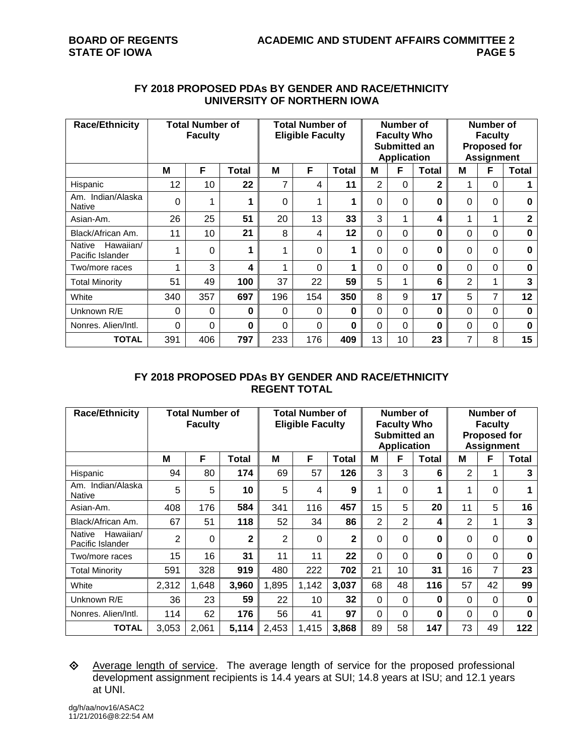# **FY 2018 PROPOSED PDAs BY GENDER AND RACE/ETHNICITY UNIVERSITY OF NORTHERN IOWA**

| <b>Race/Ethnicity</b>                          | <b>Total Number of</b><br><b>Faculty</b> |                 |       | <b>Total Number of</b><br><b>Eligible Faculty</b> |     |              |    | Number of<br><b>Faculty Who</b><br>Submitted an<br><b>Application</b> |              | Number of<br><b>Faculty</b><br><b>Proposed for</b><br><b>Assignment</b> |          |                |
|------------------------------------------------|------------------------------------------|-----------------|-------|---------------------------------------------------|-----|--------------|----|-----------------------------------------------------------------------|--------------|-------------------------------------------------------------------------|----------|----------------|
|                                                | M                                        | F               | Total | M                                                 | F   | <b>Total</b> | М  | F                                                                     | <b>Total</b> | М                                                                       | F        | <b>Total</b>   |
| Hispanic                                       | 12                                       | 10 <sup>1</sup> | 22    | 7                                                 | 4   | 11           | 2  | $\Omega$                                                              | $\mathbf{2}$ |                                                                         | $\Omega$ |                |
| Am. Indian/Alaska<br><b>Native</b>             | $\Omega$                                 |                 |       | $\mathbf 0$                                       | 1   | 1            | 0  | $\Omega$                                                              | 0            | $\Omega$                                                                | $\Omega$ | $\bf{0}$       |
| Asian-Am.                                      | 26                                       | 25              | 51    | 20                                                | 13  | 33           | 3  | 1                                                                     | 4            | 1                                                                       | 1        | $\overline{2}$ |
| Black/African Am.                              | 11                                       | 10              | 21    | 8                                                 | 4   | 12           | 0  | $\Omega$                                                              | 0            | 0                                                                       | $\Omega$ | $\bf{0}$       |
| Hawaiian/<br><b>Native</b><br>Pacific Islander |                                          | 0               |       | 4                                                 | 0   | 1            | 0  | 0                                                                     | ი            | 0                                                                       | 0        | $\bf{0}$       |
| Two/more races                                 | 4                                        | 3               | 4     | 4                                                 | 0   | 1            | 0  | $\Omega$                                                              | 0            | $\Omega$                                                                | $\Omega$ | $\bf{0}$       |
| <b>Total Minority</b>                          | 51                                       | 49              | 100   | 37                                                | 22  | 59           | 5  | 1                                                                     | 6            | $\overline{2}$                                                          | 1        | 3              |
| White                                          | 340                                      | 357             | 697   | 196                                               | 154 | 350          | 8  | 9                                                                     | 17           | 5                                                                       | 7        | 12             |
| Unknown R/E                                    | 0                                        | $\Omega$        | 0     | 0                                                 | 0   | $\bf{0}$     | 0  | $\Omega$                                                              | 0            | 0                                                                       | 0        | $\bf{0}$       |
| Nonres, Alien/Intl.                            | 0                                        | $\Omega$        | 0     | 0                                                 | 0   | $\bf{0}$     | 0  | $\Omega$                                                              | 0            | 0                                                                       | $\Omega$ | $\bf{0}$       |
| <b>TOTAL</b>                                   | 391                                      | 406             | 797   | 233                                               | 176 | 409          | 13 | 10 <sup>1</sup>                                                       | 23           | 7                                                                       | 8        | 15             |

#### **FY 2018 PROPOSED PDAs BY GENDER AND RACE/ETHNICITY REGENT TOTAL**

| <b>Race/Ethnicity</b>                   | <b>Total Number of</b><br><b>Faculty</b> |       |                         | <b>Total Number of</b><br><b>Eligible Faculty</b> |       |              |                | Number of<br><b>Faculty Who</b><br>Submitted an<br><b>Application</b> |          | <b>Number of</b><br><b>Faculty</b><br><b>Proposed for</b><br><b>Assignment</b> |              |              |
|-----------------------------------------|------------------------------------------|-------|-------------------------|---------------------------------------------------|-------|--------------|----------------|-----------------------------------------------------------------------|----------|--------------------------------------------------------------------------------|--------------|--------------|
|                                         | M                                        | F     | <b>Total</b>            | M                                                 | F     | Total        | M              | F                                                                     | Total    | M                                                                              | F            | <b>Total</b> |
| Hispanic                                | 94                                       | 80    | 174                     | 69                                                | 57    | 126          | 3              | 3                                                                     | 6        | 2                                                                              |              | 3            |
| Am. Indian/Alaska<br><b>Native</b>      | 5                                        | 5     | 10                      | 5                                                 | 4     | 9            | 4              | 0                                                                     | 1        | 1                                                                              | 0            |              |
| Asian-Am.                               | 408                                      | 176   | 584                     | 341                                               | 116   | 457          | 15             | 5                                                                     | 20       | 11                                                                             | 5            | 16           |
| Black/African Am.                       | 67                                       | 51    | 118                     | 52                                                | 34    | 86           | $\overline{2}$ | 2                                                                     | 4        | $\overline{2}$                                                                 | 1            | 3            |
| Hawaiian/<br>Native<br>Pacific Islander | 2                                        | 0     | $\overline{\mathbf{2}}$ | 2                                                 | 0     | $\mathbf{2}$ | 0              | 0                                                                     | $\bf{0}$ | $\Omega$                                                                       | $\Omega$     | $\bf{0}$     |
| Two/more races                          | 15                                       | 16    | 31                      | 11                                                | 11    | 22           | 0              | 0                                                                     | $\bf{0}$ | $\Omega$                                                                       | $\Omega$     | $\bf{0}$     |
| <b>Total Minority</b>                   | 591                                      | 328   | 919                     | 480                                               | 222   | 702          | 21             | 10                                                                    | 31       | 16                                                                             | 7            | 23           |
| White                                   | 2,312                                    | 1,648 | 3,960                   | 1,895                                             | 1,142 | 3,037        | 68             | 48                                                                    | 116      | 57                                                                             | 42           | 99           |
| Unknown R/E                             | 36                                       | 23    | 59                      | 22                                                | 10    | 32           | 0              | $\Omega$                                                              | $\bf{0}$ | $\Omega$                                                                       | $\Omega$     | $\bf{0}$     |
| Nonres, Alien/Intl.                     | 114                                      | 62    | 176                     | 56                                                | 41    | 97           | 0              | 0                                                                     | $\bf{0}$ | $\Omega$                                                                       | $\mathbf{0}$ | $\bf{0}$     |
| <b>TOTAL</b>                            | 3,053                                    | 2.061 | 5,114                   | 2,453                                             | 1,415 | 3,868        | 89             | 58                                                                    | 147      | 73                                                                             | 49           | 122          |

# Average length of service. The average length of service for the proposed professional development assignment recipients is 14.4 years at SUI; 14.8 years at ISU; and 12.1 years at UNI.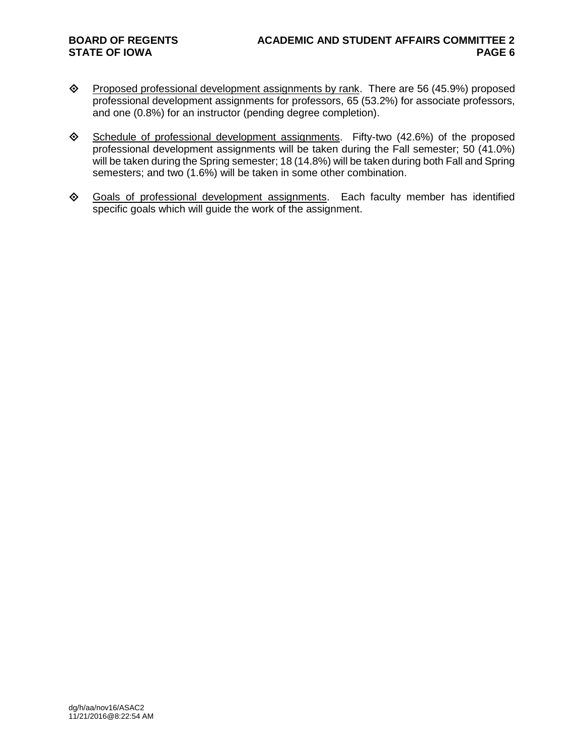- ◆ Proposed professional development assignments by rank. There are 56 (45.9%) proposed professional development assignments for professors, 65 (53.2%) for associate professors, and one (0.8%) for an instructor (pending degree completion).
- $\diamond$  Schedule of professional development assignments. Fifty-two (42.6%) of the proposed professional development assignments will be taken during the Fall semester; 50 (41.0%) will be taken during the Spring semester; 18 (14.8%) will be taken during both Fall and Spring semesters; and two (1.6%) will be taken in some other combination.
- Goals of professional development assignments. Each faculty member has identified specific goals which will guide the work of the assignment.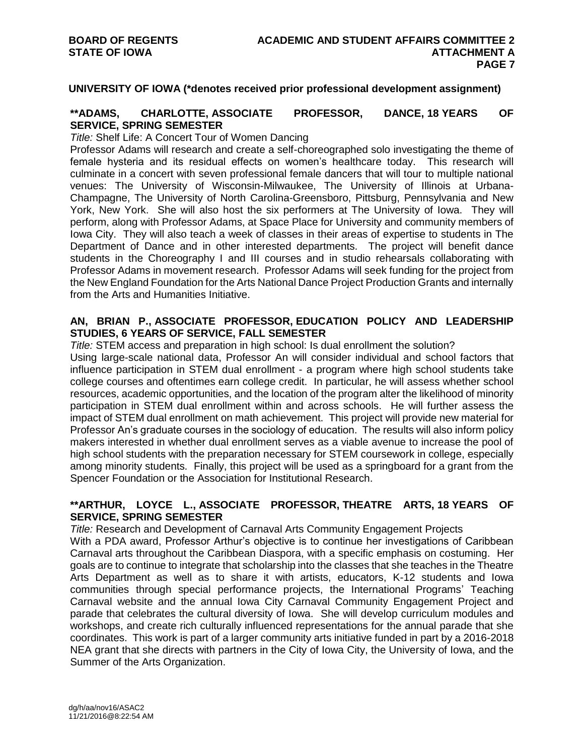#### **UNIVERSITY OF IOWA (\*denotes received prior professional development assignment)**

#### **\*\*ADAMS, CHARLOTTE, ASSOCIATE PROFESSOR, DANCE, 18 YEARS OF SERVICE, SPRING SEMESTER**

*Title:* Shelf Life: A Concert Tour of Women Dancing

Professor Adams will research and create a self-choreographed solo investigating the theme of female hysteria and its residual effects on women's healthcare today. This research will culminate in a concert with seven professional female dancers that will tour to multiple national venues: The University of Wisconsin-Milwaukee, The University of Illinois at Urbana-Champagne, The University of North Carolina-Greensboro, Pittsburg, Pennsylvania and New York, New York. She will also host the six performers at The University of Iowa. They will perform, along with Professor Adams, at Space Place for University and community members of Iowa City. They will also teach a week of classes in their areas of expertise to students in The Department of Dance and in other interested departments. The project will benefit dance students in the Choreography I and III courses and in studio rehearsals collaborating with Professor Adams in movement research. Professor Adams will seek funding for the project from the New England Foundation for the Arts National Dance Project Production Grants and internally from the Arts and Humanities Initiative.

#### **AN, BRIAN P., ASSOCIATE PROFESSOR, EDUCATION POLICY AND LEADERSHIP STUDIES, 6 YEARS OF SERVICE, FALL SEMESTER**

*Title:* STEM access and preparation in high school: Is dual enrollment the solution? Using large-scale national data, Professor An will consider individual and school factors that influence participation in STEM dual enrollment - a program where high school students take college courses and oftentimes earn college credit. In particular, he will assess whether school resources, academic opportunities, and the location of the program alter the likelihood of minority participation in STEM dual enrollment within and across schools. He will further assess the impact of STEM dual enrollment on math achievement. This project will provide new material for Professor An's graduate courses in the sociology of education. The results will also inform policy makers interested in whether dual enrollment serves as a viable avenue to increase the pool of high school students with the preparation necessary for STEM coursework in college, especially among minority students. Finally, this project will be used as a springboard for a grant from the Spencer Foundation or the Association for Institutional Research.

### **\*\*ARTHUR, LOYCE L., ASSOCIATE PROFESSOR, THEATRE ARTS, 18 YEARS OF SERVICE, SPRING SEMESTER**

*Title:* Research and Development of Carnaval Arts Community Engagement Projects With a PDA award, Professor Arthur's objective is to continue her investigations of Caribbean Carnaval arts throughout the Caribbean Diaspora, with a specific emphasis on costuming. Her goals are to continue to integrate that scholarship into the classes that she teaches in the Theatre Arts Department as well as to share it with artists, educators, K-12 students and Iowa communities through special performance projects, the International Programs' Teaching Carnaval website and the annual Iowa City Carnaval Community Engagement Project and parade that celebrates the cultural diversity of Iowa. She will develop curriculum modules and workshops, and create rich culturally influenced representations for the annual parade that she coordinates. This work is part of a larger community arts initiative funded in part by a 2016-2018 NEA grant that she directs with partners in the City of Iowa City, the University of Iowa, and the Summer of the Arts Organization.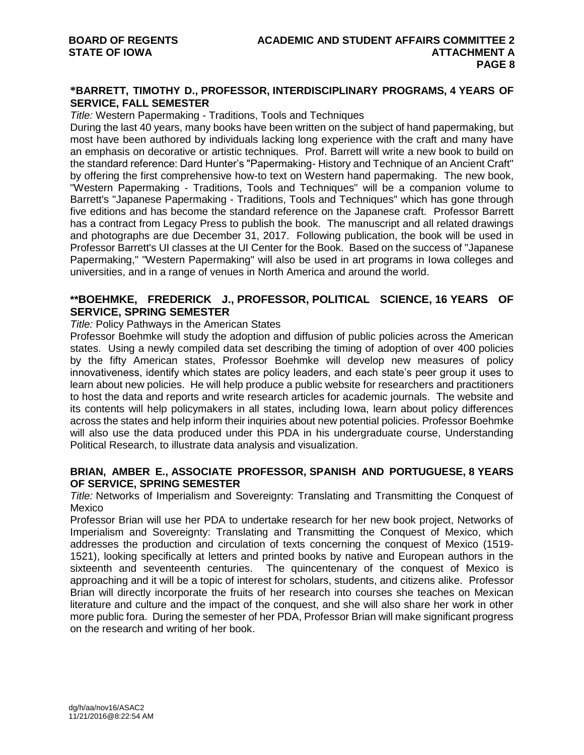# **\*BARRETT, TIMOTHY D., PROFESSOR, INTERDISCIPLINARY PROGRAMS, 4 YEARS OF SERVICE, FALL SEMESTER**

*Title:* Western Papermaking - Traditions, Tools and Techniques

During the last 40 years, many books have been written on the subject of hand papermaking, but most have been authored by individuals lacking long experience with the craft and many have an emphasis on decorative or artistic techniques. Prof. Barrett will write a new book to build on the standard reference: Dard Hunter's "Papermaking- History and Technique of an Ancient Craft" by offering the first comprehensive how-to text on Western hand papermaking. The new book, "Western Papermaking - Traditions, Tools and Techniques" will be a companion volume to Barrett's "Japanese Papermaking - Traditions, Tools and Techniques" which has gone through five editions and has become the standard reference on the Japanese craft. Professor Barrett has a contract from Legacy Press to publish the book. The manuscript and all related drawings and photographs are due December 31, 2017. Following publication, the book will be used in Professor Barrett's UI classes at the UI Center for the Book. Based on the success of "Japanese Papermaking," "Western Papermaking" will also be used in art programs in Iowa colleges and universities, and in a range of venues in North America and around the world.

# **\*\*BOEHMKE, FREDERICK J., PROFESSOR, POLITICAL SCIENCE, 16 YEARS OF SERVICE, SPRING SEMESTER**

#### *Title:* Policy Pathways in the American States

Professor Boehmke will study the adoption and diffusion of public policies across the American states. Using a newly compiled data set describing the timing of adoption of over 400 policies by the fifty American states, Professor Boehmke will develop new measures of policy innovativeness, identify which states are policy leaders, and each state's peer group it uses to learn about new policies. He will help produce a public website for researchers and practitioners to host the data and reports and write research articles for academic journals. The website and its contents will help policymakers in all states, including Iowa, learn about policy differences across the states and help inform their inquiries about new potential policies. Professor Boehmke will also use the data produced under this PDA in his undergraduate course, Understanding Political Research, to illustrate data analysis and visualization.

# **BRIAN, AMBER E., ASSOCIATE PROFESSOR, SPANISH AND PORTUGUESE, 8 YEARS OF SERVICE, SPRING SEMESTER**

*Title:* Networks of Imperialism and Sovereignty: Translating and Transmitting the Conquest of Mexico

Professor Brian will use her PDA to undertake research for her new book project, Networks of Imperialism and Sovereignty: Translating and Transmitting the Conquest of Mexico, which addresses the production and circulation of texts concerning the conquest of Mexico (1519- 1521), looking specifically at letters and printed books by native and European authors in the sixteenth and seventeenth centuries. The quincentenary of the conquest of Mexico is approaching and it will be a topic of interest for scholars, students, and citizens alike. Professor Brian will directly incorporate the fruits of her research into courses she teaches on Mexican literature and culture and the impact of the conquest, and she will also share her work in other more public fora. During the semester of her PDA, Professor Brian will make significant progress on the research and writing of her book.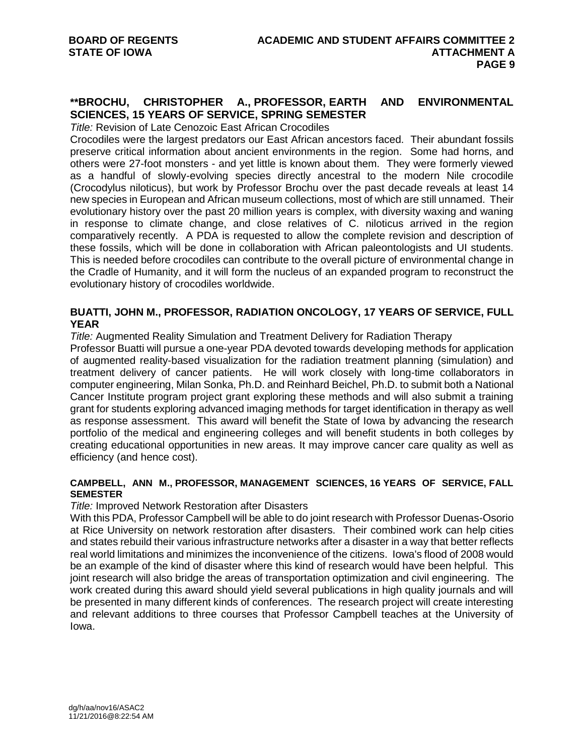# **\*\*BROCHU, CHRISTOPHER A., PROFESSOR, EARTH AND ENVIRONMENTAL SCIENCES, 15 YEARS OF SERVICE, SPRING SEMESTER**

*Title:* Revision of Late Cenozoic East African Crocodiles

Crocodiles were the largest predators our East African ancestors faced. Their abundant fossils preserve critical information about ancient environments in the region. Some had horns, and others were 27-foot monsters - and yet little is known about them. They were formerly viewed as a handful of slowly-evolving species directly ancestral to the modern Nile crocodile (Crocodylus niloticus), but work by Professor Brochu over the past decade reveals at least 14 new species in European and African museum collections, most of which are still unnamed. Their evolutionary history over the past 20 million years is complex, with diversity waxing and waning in response to climate change, and close relatives of C. niloticus arrived in the region comparatively recently. A PDA is requested to allow the complete revision and description of these fossils, which will be done in collaboration with African paleontologists and UI students. This is needed before crocodiles can contribute to the overall picture of environmental change in the Cradle of Humanity, and it will form the nucleus of an expanded program to reconstruct the evolutionary history of crocodiles worldwide.

#### **BUATTI, JOHN M., PROFESSOR, RADIATION ONCOLOGY, 17 YEARS OF SERVICE, FULL YEAR**

**Title: Augmented Reality Simulation and Treatment Delivery for Radiation Therapy** 

Professor Buatti will pursue a one-year PDA devoted towards developing methods for application of augmented reality-based visualization for the radiation treatment planning (simulation) and treatment delivery of cancer patients. He will work closely with long-time collaborators in computer engineering, Milan Sonka, Ph.D. and Reinhard Beichel, Ph.D. to submit both a National Cancer Institute program project grant exploring these methods and will also submit a training grant for students exploring advanced imaging methods for target identification in therapy as well as response assessment. This award will benefit the State of Iowa by advancing the research portfolio of the medical and engineering colleges and will benefit students in both colleges by creating educational opportunities in new areas. It may improve cancer care quality as well as efficiency (and hence cost).

# **CAMPBELL, ANN M., PROFESSOR, MANAGEMENT SCIENCES, 16 YEARS OF SERVICE, FALL SEMESTER**

#### *Title:* Improved Network Restoration after Disasters

With this PDA, Professor Campbell will be able to do joint research with Professor Duenas-Osorio at Rice University on network restoration after disasters. Their combined work can help cities and states rebuild their various infrastructure networks after a disaster in a way that better reflects real world limitations and minimizes the inconvenience of the citizens. Iowa's flood of 2008 would be an example of the kind of disaster where this kind of research would have been helpful. This joint research will also bridge the areas of transportation optimization and civil engineering. The work created during this award should yield several publications in high quality journals and will be presented in many different kinds of conferences. The research project will create interesting and relevant additions to three courses that Professor Campbell teaches at the University of Iowa.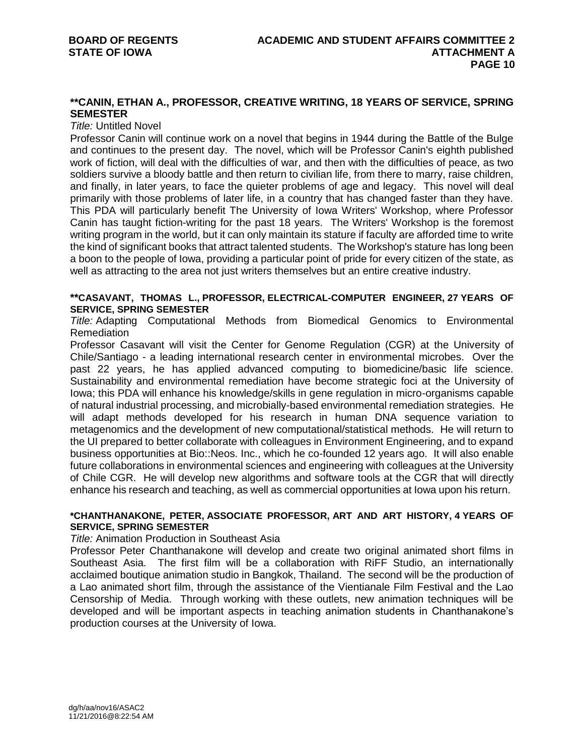# **\*\*CANIN, ETHAN A., PROFESSOR, CREATIVE WRITING, 18 YEARS OF SERVICE, SPRING SEMESTER**

#### *Title:* Untitled Novel

Professor Canin will continue work on a novel that begins in 1944 during the Battle of the Bulge and continues to the present day. The novel, which will be Professor Canin's eighth published work of fiction, will deal with the difficulties of war, and then with the difficulties of peace, as two soldiers survive a bloody battle and then return to civilian life, from there to marry, raise children, and finally, in later years, to face the quieter problems of age and legacy. This novel will deal primarily with those problems of later life, in a country that has changed faster than they have. This PDA will particularly benefit The University of Iowa Writers' Workshop, where Professor Canin has taught fiction-writing for the past 18 years. The Writers' Workshop is the foremost writing program in the world, but it can only maintain its stature if faculty are afforded time to write the kind of significant books that attract talented students. The Workshop's stature has long been a boon to the people of Iowa, providing a particular point of pride for every citizen of the state, as well as attracting to the area not just writers themselves but an entire creative industry.

#### **\*\*CASAVANT, THOMAS L., PROFESSOR, ELECTRICAL-COMPUTER ENGINEER, 27 YEARS OF SERVICE, SPRING SEMESTER**

*Title:* Adapting Computational Methods from Biomedical Genomics to Environmental Remediation

Professor Casavant will visit the Center for Genome Regulation (CGR) at the University of Chile/Santiago - a leading international research center in environmental microbes. Over the past 22 years, he has applied advanced computing to biomedicine/basic life science. Sustainability and environmental remediation have become strategic foci at the University of Iowa; this PDA will enhance his knowledge/skills in gene regulation in micro-organisms capable of natural industrial processing, and microbially-based environmental remediation strategies. He will adapt methods developed for his research in human DNA sequence variation to metagenomics and the development of new computational/statistical methods. He will return to the UI prepared to better collaborate with colleagues in Environment Engineering, and to expand business opportunities at Bio::Neos. Inc., which he co-founded 12 years ago. It will also enable future collaborations in environmental sciences and engineering with colleagues at the University of Chile CGR. He will develop new algorithms and software tools at the CGR that will directly enhance his research and teaching, as well as commercial opportunities at Iowa upon his return.

#### **\*CHANTHANAKONE, PETER, ASSOCIATE PROFESSOR, ART AND ART HISTORY, 4 YEARS OF SERVICE, SPRING SEMESTER**

#### *Title:* Animation Production in Southeast Asia

Professor Peter Chanthanakone will develop and create two original animated short films in Southeast Asia. The first film will be a collaboration with RiFF Studio, an internationally acclaimed boutique animation studio in Bangkok, Thailand. The second will be the production of a Lao animated short film, through the assistance of the Vientianale Film Festival and the Lao Censorship of Media. Through working with these outlets, new animation techniques will be developed and will be important aspects in teaching animation students in Chanthanakone's production courses at the University of Iowa.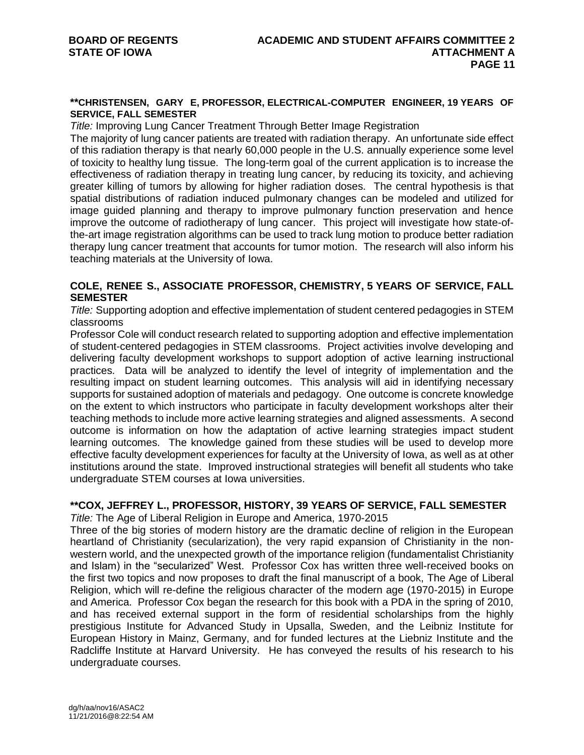#### **\*\*CHRISTENSEN, GARY E, PROFESSOR, ELECTRICAL-COMPUTER ENGINEER, 19 YEARS OF SERVICE, FALL SEMESTER**

*Title:* Improving Lung Cancer Treatment Through Better Image Registration

The majority of lung cancer patients are treated with radiation therapy. An unfortunate side effect of this radiation therapy is that nearly 60,000 people in the U.S. annually experience some level of toxicity to healthy lung tissue. The long-term goal of the current application is to increase the effectiveness of radiation therapy in treating lung cancer, by reducing its toxicity, and achieving greater killing of tumors by allowing for higher radiation doses. The central hypothesis is that spatial distributions of radiation induced pulmonary changes can be modeled and utilized for image guided planning and therapy to improve pulmonary function preservation and hence improve the outcome of radiotherapy of lung cancer. This project will investigate how state-ofthe-art image registration algorithms can be used to track lung motion to produce better radiation therapy lung cancer treatment that accounts for tumor motion. The research will also inform his teaching materials at the University of Iowa.

# **COLE, RENEE S., ASSOCIATE PROFESSOR, CHEMISTRY, 5 YEARS OF SERVICE, FALL SEMESTER**

*Title:* Supporting adoption and effective implementation of student centered pedagogies in STEM classrooms

Professor Cole will conduct research related to supporting adoption and effective implementation of student-centered pedagogies in STEM classrooms. Project activities involve developing and delivering faculty development workshops to support adoption of active learning instructional practices. Data will be analyzed to identify the level of integrity of implementation and the resulting impact on student learning outcomes. This analysis will aid in identifying necessary supports for sustained adoption of materials and pedagogy. One outcome is concrete knowledge on the extent to which instructors who participate in faculty development workshops alter their teaching methods to include more active learning strategies and aligned assessments. A second outcome is information on how the adaptation of active learning strategies impact student learning outcomes. The knowledge gained from these studies will be used to develop more effective faculty development experiences for faculty at the University of Iowa, as well as at other institutions around the state. Improved instructional strategies will benefit all students who take undergraduate STEM courses at Iowa universities.

# **\*\*COX, JEFFREY L., PROFESSOR, HISTORY, 39 YEARS OF SERVICE, FALL SEMESTER**

*Title:* The Age of Liberal Religion in Europe and America, 1970-2015

Three of the big stories of modern history are the dramatic decline of religion in the European heartland of Christianity (secularization), the very rapid expansion of Christianity in the nonwestern world, and the unexpected growth of the importance religion (fundamentalist Christianity and Islam) in the "secularized" West. Professor Cox has written three well-received books on the first two topics and now proposes to draft the final manuscript of a book, The Age of Liberal Religion, which will re-define the religious character of the modern age (1970-2015) in Europe and America. Professor Cox began the research for this book with a PDA in the spring of 2010, and has received external support in the form of residential scholarships from the highly prestigious Institute for Advanced Study in Upsalla, Sweden, and the Leibniz Institute for European History in Mainz, Germany, and for funded lectures at the Liebniz Institute and the Radcliffe Institute at Harvard University. He has conveyed the results of his research to his undergraduate courses.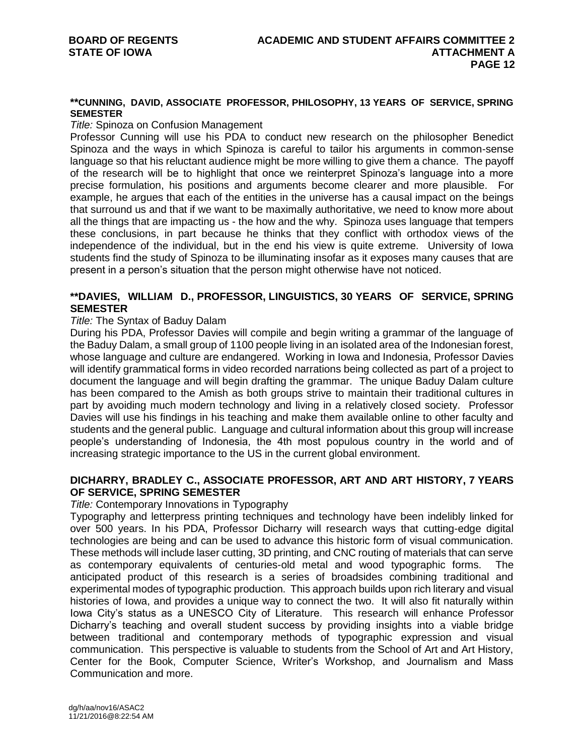#### **\*\*CUNNING, DAVID, ASSOCIATE PROFESSOR, PHILOSOPHY, 13 YEARS OF SERVICE, SPRING SEMESTER**

#### *Title:* Spinoza on Confusion Management

Professor Cunning will use his PDA to conduct new research on the philosopher Benedict Spinoza and the ways in which Spinoza is careful to tailor his arguments in common-sense language so that his reluctant audience might be more willing to give them a chance. The payoff of the research will be to highlight that once we reinterpret Spinoza's language into a more precise formulation, his positions and arguments become clearer and more plausible. For example, he argues that each of the entities in the universe has a causal impact on the beings that surround us and that if we want to be maximally authoritative, we need to know more about all the things that are impacting us - the how and the why. Spinoza uses language that tempers these conclusions, in part because he thinks that they conflict with orthodox views of the independence of the individual, but in the end his view is quite extreme. University of Iowa students find the study of Spinoza to be illuminating insofar as it exposes many causes that are present in a person's situation that the person might otherwise have not noticed.

#### **\*\*DAVIES, WILLIAM D., PROFESSOR, LINGUISTICS, 30 YEARS OF SERVICE, SPRING SEMESTER**

#### *Title:* The Syntax of Baduy Dalam

During his PDA, Professor Davies will compile and begin writing a grammar of the language of the Baduy Dalam, a small group of 1100 people living in an isolated area of the Indonesian forest, whose language and culture are endangered. Working in Iowa and Indonesia, Professor Davies will identify grammatical forms in video recorded narrations being collected as part of a project to document the language and will begin drafting the grammar. The unique Baduy Dalam culture has been compared to the Amish as both groups strive to maintain their traditional cultures in part by avoiding much modern technology and living in a relatively closed society. Professor Davies will use his findings in his teaching and make them available online to other faculty and students and the general public. Language and cultural information about this group will increase people's understanding of Indonesia, the 4th most populous country in the world and of increasing strategic importance to the US in the current global environment.

# **DICHARRY, BRADLEY C., ASSOCIATE PROFESSOR, ART AND ART HISTORY, 7 YEARS OF SERVICE, SPRING SEMESTER**

#### *Title:* Contemporary Innovations in Typography

Typography and letterpress printing techniques and technology have been indelibly linked for over 500 years. In his PDA, Professor Dicharry will research ways that cutting-edge digital technologies are being and can be used to advance this historic form of visual communication. These methods will include laser cutting, 3D printing, and CNC routing of materials that can serve as contemporary equivalents of centuries-old metal and wood typographic forms. The anticipated product of this research is a series of broadsides combining traditional and experimental modes of typographic production. This approach builds upon rich literary and visual histories of Iowa, and provides a unique way to connect the two. It will also fit naturally within Iowa City's status as a UNESCO City of Literature. This research will enhance Professor Dicharry's teaching and overall student success by providing insights into a viable bridge between traditional and contemporary methods of typographic expression and visual communication. This perspective is valuable to students from the School of Art and Art History, Center for the Book, Computer Science, Writer's Workshop, and Journalism and Mass Communication and more.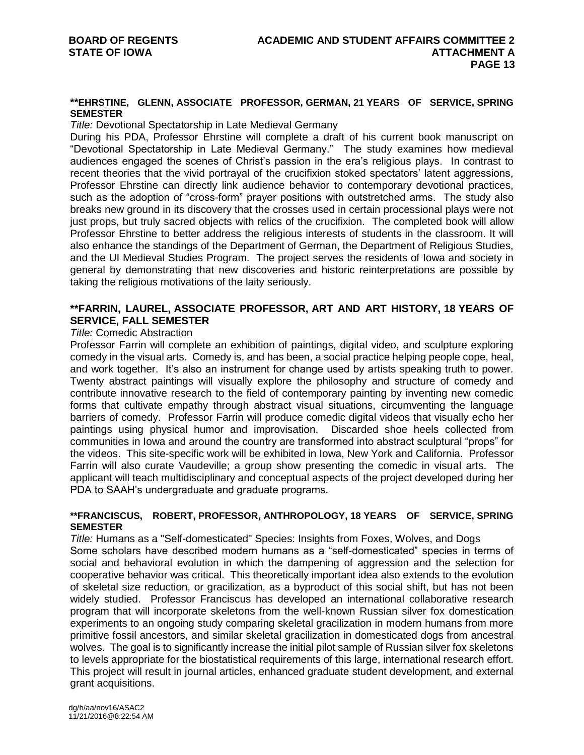#### **\*\*EHRSTINE, GLENN, ASSOCIATE PROFESSOR, GERMAN, 21 YEARS OF SERVICE, SPRING SEMESTER**

*Title:* Devotional Spectatorship in Late Medieval Germany

During his PDA, Professor Ehrstine will complete a draft of his current book manuscript on "Devotional Spectatorship in Late Medieval Germany." The study examines how medieval audiences engaged the scenes of Christ's passion in the era's religious plays. In contrast to recent theories that the vivid portrayal of the crucifixion stoked spectators' latent aggressions, Professor Ehrstine can directly link audience behavior to contemporary devotional practices, such as the adoption of "cross-form" prayer positions with outstretched arms. The study also breaks new ground in its discovery that the crosses used in certain processional plays were not just props, but truly sacred objects with relics of the crucifixion. The completed book will allow Professor Ehrstine to better address the religious interests of students in the classroom. It will also enhance the standings of the Department of German, the Department of Religious Studies, and the UI Medieval Studies Program. The project serves the residents of Iowa and society in general by demonstrating that new discoveries and historic reinterpretations are possible by taking the religious motivations of the laity seriously.

#### **\*\*FARRIN, LAUREL, ASSOCIATE PROFESSOR, ART AND ART HISTORY, 18 YEARS OF SERVICE, FALL SEMESTER**

#### *Title:* Comedic Abstraction

Professor Farrin will complete an exhibition of paintings, digital video, and sculpture exploring comedy in the visual arts. Comedy is, and has been, a social practice helping people cope, heal, and work together. It's also an instrument for change used by artists speaking truth to power. Twenty abstract paintings will visually explore the philosophy and structure of comedy and contribute innovative research to the field of contemporary painting by inventing new comedic forms that cultivate empathy through abstract visual situations, circumventing the language barriers of comedy. Professor Farrin will produce comedic digital videos that visually echo her paintings using physical humor and improvisation. Discarded shoe heels collected from communities in Iowa and around the country are transformed into abstract sculptural "props" for the videos. This site-specific work will be exhibited in Iowa, New York and California. Professor Farrin will also curate Vaudeville; a group show presenting the comedic in visual arts. The applicant will teach multidisciplinary and conceptual aspects of the project developed during her PDA to SAAH's undergraduate and graduate programs.

#### **\*\*FRANCISCUS, ROBERT, PROFESSOR, ANTHROPOLOGY, 18 YEARS OF SERVICE, SPRING SEMESTER**

*Title:* Humans as a "Self-domesticated" Species: Insights from Foxes, Wolves, and Dogs Some scholars have described modern humans as a "self-domesticated" species in terms of social and behavioral evolution in which the dampening of aggression and the selection for cooperative behavior was critical. This theoretically important idea also extends to the evolution of skeletal size reduction, or gracilization, as a byproduct of this social shift, but has not been widely studied. Professor Franciscus has developed an international collaborative research program that will incorporate skeletons from the well-known Russian silver fox domestication experiments to an ongoing study comparing skeletal gracilization in modern humans from more primitive fossil ancestors, and similar skeletal gracilization in domesticated dogs from ancestral wolves. The goal is to significantly increase the initial pilot sample of Russian silver fox skeletons to levels appropriate for the biostatistical requirements of this large, international research effort. This project will result in journal articles, enhanced graduate student development, and external grant acquisitions.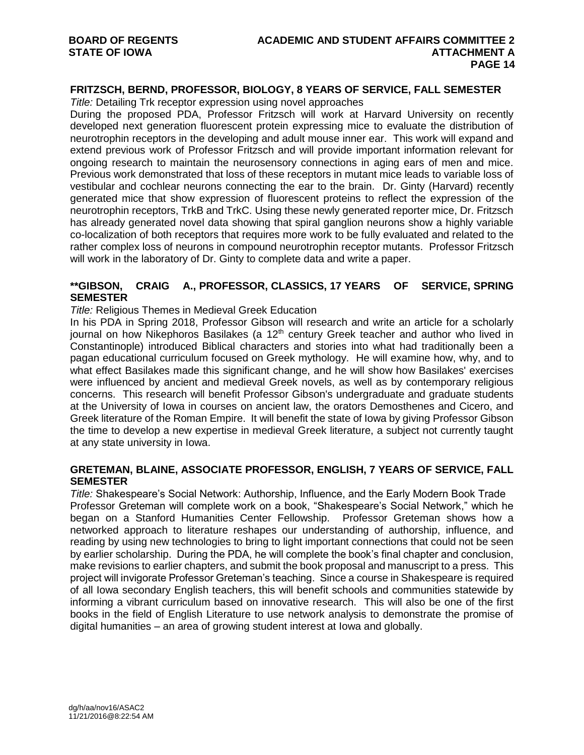# **FRITZSCH, BERND, PROFESSOR, BIOLOGY, 8 YEARS OF SERVICE, FALL SEMESTER**

*Title:* Detailing Trk receptor expression using novel approaches

During the proposed PDA, Professor Fritzsch will work at Harvard University on recently developed next generation fluorescent protein expressing mice to evaluate the distribution of neurotrophin receptors in the developing and adult mouse inner ear. This work will expand and extend previous work of Professor Fritzsch and will provide important information relevant for ongoing research to maintain the neurosensory connections in aging ears of men and mice. Previous work demonstrated that loss of these receptors in mutant mice leads to variable loss of vestibular and cochlear neurons connecting the ear to the brain. Dr. Ginty (Harvard) recently generated mice that show expression of fluorescent proteins to reflect the expression of the neurotrophin receptors, TrkB and TrkC. Using these newly generated reporter mice, Dr. Fritzsch has already generated novel data showing that spiral ganglion neurons show a highly variable co-localization of both receptors that requires more work to be fully evaluated and related to the rather complex loss of neurons in compound neurotrophin receptor mutants. Professor Fritzsch will work in the laboratory of Dr. Ginty to complete data and write a paper.

#### **\*\*GIBSON, CRAIG A., PROFESSOR, CLASSICS, 17 YEARS OF SERVICE, SPRING SEMESTER**

*Title:* Religious Themes in Medieval Greek Education

In his PDA in Spring 2018, Professor Gibson will research and write an article for a scholarly journal on how Nikephoros Basilakes (a 12<sup>th</sup> century Greek teacher and author who lived in Constantinople) introduced Biblical characters and stories into what had traditionally been a pagan educational curriculum focused on Greek mythology. He will examine how, why, and to what effect Basilakes made this significant change, and he will show how Basilakes' exercises were influenced by ancient and medieval Greek novels, as well as by contemporary religious concerns. This research will benefit Professor Gibson's undergraduate and graduate students at the University of Iowa in courses on ancient law, the orators Demosthenes and Cicero, and Greek literature of the Roman Empire. It will benefit the state of Iowa by giving Professor Gibson the time to develop a new expertise in medieval Greek literature, a subject not currently taught at any state university in Iowa.

#### **GRETEMAN, BLAINE, ASSOCIATE PROFESSOR, ENGLISH, 7 YEARS OF SERVICE, FALL SEMESTER**

*Title:* Shakespeare's Social Network: Authorship, Influence, and the Early Modern Book Trade Professor Greteman will complete work on a book, "Shakespeare's Social Network," which he began on a Stanford Humanities Center Fellowship. Professor Greteman shows how a networked approach to literature reshapes our understanding of authorship, influence, and reading by using new technologies to bring to light important connections that could not be seen by earlier scholarship. During the PDA, he will complete the book's final chapter and conclusion, make revisions to earlier chapters, and submit the book proposal and manuscript to a press. This project will invigorate Professor Greteman's teaching. Since a course in Shakespeare is required of all Iowa secondary English teachers, this will benefit schools and communities statewide by informing a vibrant curriculum based on innovative research. This will also be one of the first books in the field of English Literature to use network analysis to demonstrate the promise of digital humanities – an area of growing student interest at Iowa and globally.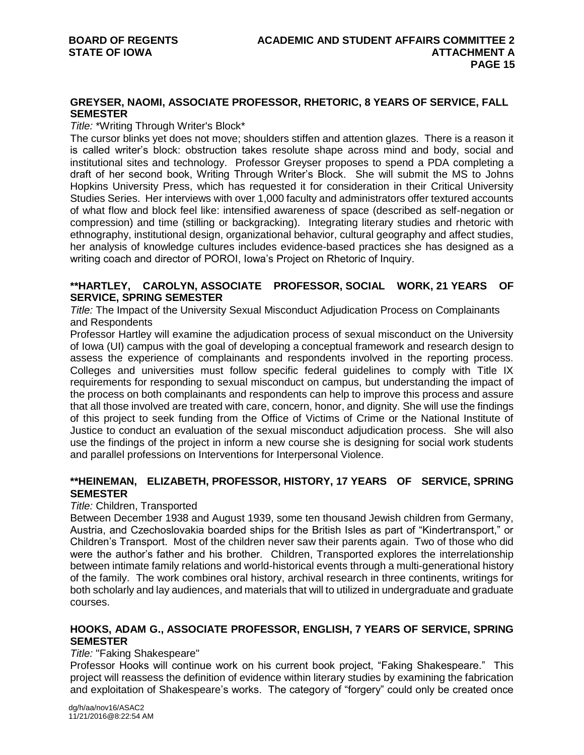# **GREYSER, NAOMI, ASSOCIATE PROFESSOR, RHETORIC, 8 YEARS OF SERVICE, FALL SEMESTER**

#### *Title:* \*Writing Through Writer's Block\*

The cursor blinks yet does not move; shoulders stiffen and attention glazes. There is a reason it is called writer's block: obstruction takes resolute shape across mind and body, social and institutional sites and technology. Professor Greyser proposes to spend a PDA completing a draft of her second book, Writing Through Writer's Block. She will submit the MS to Johns Hopkins University Press, which has requested it for consideration in their Critical University Studies Series. Her interviews with over 1,000 faculty and administrators offer textured accounts of what flow and block feel like: intensified awareness of space (described as self-negation or compression) and time (stilling or backgracking). Integrating literary studies and rhetoric with ethnography, institutional design, organizational behavior, cultural geography and affect studies, her analysis of knowledge cultures includes evidence-based practices she has designed as a writing coach and director of POROI, Iowa's Project on Rhetoric of Inquiry.

#### **\*\*HARTLEY, CAROLYN, ASSOCIATE PROFESSOR, SOCIAL WORK, 21 YEARS OF SERVICE, SPRING SEMESTER**

*Title:* The Impact of the University Sexual Misconduct Adjudication Process on Complainants and Respondents

Professor Hartley will examine the adjudication process of sexual misconduct on the University of Iowa (UI) campus with the goal of developing a conceptual framework and research design to assess the experience of complainants and respondents involved in the reporting process. Colleges and universities must follow specific federal guidelines to comply with Title IX requirements for responding to sexual misconduct on campus, but understanding the impact of the process on both complainants and respondents can help to improve this process and assure that all those involved are treated with care, concern, honor, and dignity. She will use the findings of this project to seek funding from the Office of Victims of Crime or the National Institute of Justice to conduct an evaluation of the sexual misconduct adjudication process. She will also use the findings of the project in inform a new course she is designing for social work students and parallel professions on Interventions for Interpersonal Violence.

# **\*\*HEINEMAN, ELIZABETH, PROFESSOR, HISTORY, 17 YEARS OF SERVICE, SPRING SEMESTER**

#### *Title:* Children, Transported

Between December 1938 and August 1939, some ten thousand Jewish children from Germany, Austria, and Czechoslovakia boarded ships for the British Isles as part of "Kindertransport," or Children's Transport. Most of the children never saw their parents again. Two of those who did were the author's father and his brother. Children, Transported explores the interrelationship between intimate family relations and world-historical events through a multi-generational history of the family. The work combines oral history, archival research in three continents, writings for both scholarly and lay audiences, and materials that will to utilized in undergraduate and graduate courses.

# **HOOKS, ADAM G., ASSOCIATE PROFESSOR, ENGLISH, 7 YEARS OF SERVICE, SPRING SEMESTER**

#### *Title:* "Faking Shakespeare"

Professor Hooks will continue work on his current book project, "Faking Shakespeare." This project will reassess the definition of evidence within literary studies by examining the fabrication and exploitation of Shakespeare's works. The category of "forgery" could only be created once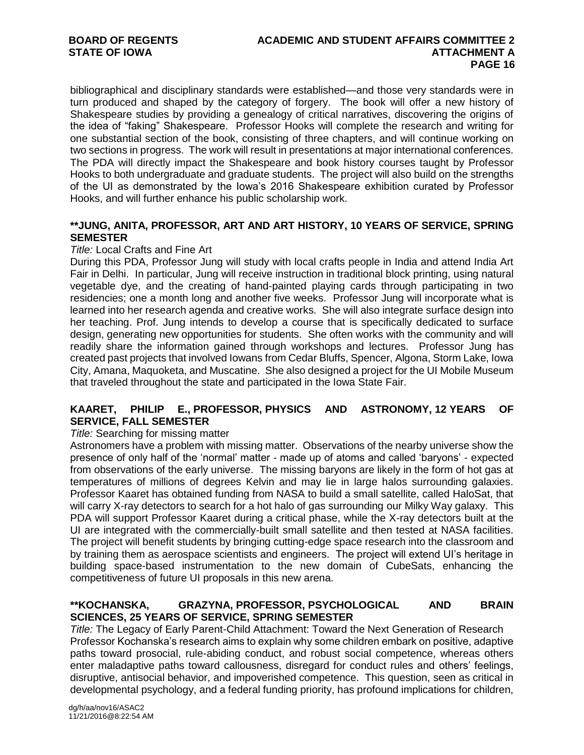bibliographical and disciplinary standards were established—and those very standards were in turn produced and shaped by the category of forgery. The book will offer a new history of Shakespeare studies by providing a genealogy of critical narratives, discovering the origins of the idea of "faking" Shakespeare. Professor Hooks will complete the research and writing for one substantial section of the book, consisting of three chapters, and will continue working on two sections in progress. The work will result in presentations at major international conferences. The PDA will directly impact the Shakespeare and book history courses taught by Professor Hooks to both undergraduate and graduate students. The project will also build on the strengths of the UI as demonstrated by the Iowa's 2016 Shakespeare exhibition curated by Professor Hooks, and will further enhance his public scholarship work.

#### **\*\*JUNG, ANITA, PROFESSOR, ART AND ART HISTORY, 10 YEARS OF SERVICE, SPRING SEMESTER**

#### *Title:* Local Crafts and Fine Art

During this PDA, Professor Jung will study with local crafts people in India and attend India Art Fair in Delhi. In particular, Jung will receive instruction in traditional block printing, using natural vegetable dye, and the creating of hand-painted playing cards through participating in two residencies; one a month long and another five weeks. Professor Jung will incorporate what is learned into her research agenda and creative works. She will also integrate surface design into her teaching. Prof. Jung intends to develop a course that is specifically dedicated to surface design, generating new opportunities for students. She often works with the community and will readily share the information gained through workshops and lectures. Professor Jung has created past projects that involved Iowans from Cedar Bluffs, Spencer, Algona, Storm Lake, Iowa City, Amana, Maquoketa, and Muscatine. She also designed a project for the UI Mobile Museum that traveled throughout the state and participated in the Iowa State Fair.

#### **KAARET, PHILIP E., PROFESSOR, PHYSICS AND ASTRONOMY, 12 YEARS OF SERVICE, FALL SEMESTER**

#### *Title:* Searching for missing matter

Astronomers have a problem with missing matter. Observations of the nearby universe show the presence of only half of the 'normal' matter - made up of atoms and called 'baryons' - expected from observations of the early universe. The missing baryons are likely in the form of hot gas at temperatures of millions of degrees Kelvin and may lie in large halos surrounding galaxies. Professor Kaaret has obtained funding from NASA to build a small satellite, called HaloSat, that will carry X-ray detectors to search for a hot halo of gas surrounding our Milky Way galaxy. This PDA will support Professor Kaaret during a critical phase, while the X-ray detectors built at the UI are integrated with the commercially-built small satellite and then tested at NASA facilities. The project will benefit students by bringing cutting-edge space research into the classroom and by training them as aerospace scientists and engineers. The project will extend UI's heritage in building space-based instrumentation to the new domain of CubeSats, enhancing the competitiveness of future UI proposals in this new arena.

#### **\*\*KOCHANSKA, GRAZYNA, PROFESSOR, PSYCHOLOGICAL AND BRAIN SCIENCES, 25 YEARS OF SERVICE, SPRING SEMESTER**

*Title:* The Legacy of Early Parent-Child Attachment: Toward the Next Generation of Research Professor Kochanska's research aims to explain why some children embark on positive, adaptive paths toward prosocial, rule-abiding conduct, and robust social competence, whereas others enter maladaptive paths toward callousness, disregard for conduct rules and others' feelings, disruptive, antisocial behavior, and impoverished competence. This question, seen as critical in developmental psychology, and a federal funding priority, has profound implications for children,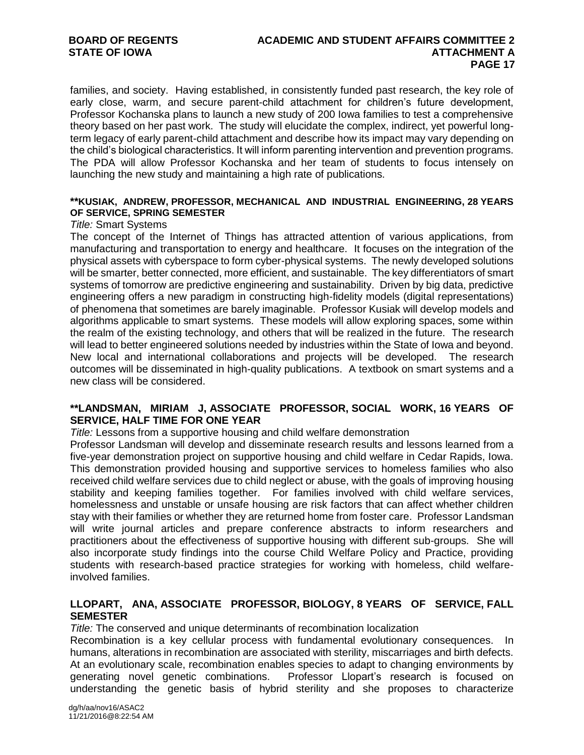families, and society. Having established, in consistently funded past research, the key role of early close, warm, and secure parent-child attachment for children's future development, Professor Kochanska plans to launch a new study of 200 Iowa families to test a comprehensive theory based on her past work. The study will elucidate the complex, indirect, yet powerful longterm legacy of early parent-child attachment and describe how its impact may vary depending on the child's biological characteristics. It will inform parenting intervention and prevention programs. The PDA will allow Professor Kochanska and her team of students to focus intensely on launching the new study and maintaining a high rate of publications.

#### **\*\*KUSIAK, ANDREW, PROFESSOR, MECHANICAL AND INDUSTRIAL ENGINEERING, 28 YEARS OF SERVICE, SPRING SEMESTER**

#### *Title:* Smart Systems

The concept of the Internet of Things has attracted attention of various applications, from manufacturing and transportation to energy and healthcare. It focuses on the integration of the physical assets with cyberspace to form cyber-physical systems. The newly developed solutions will be smarter, better connected, more efficient, and sustainable. The key differentiators of smart systems of tomorrow are predictive engineering and sustainability. Driven by big data, predictive engineering offers a new paradigm in constructing high-fidelity models (digital representations) of phenomena that sometimes are barely imaginable. Professor Kusiak will develop models and algorithms applicable to smart systems. These models will allow exploring spaces, some within the realm of the existing technology, and others that will be realized in the future. The research will lead to better engineered solutions needed by industries within the State of Iowa and beyond. New local and international collaborations and projects will be developed. The research outcomes will be disseminated in high-quality publications. A textbook on smart systems and a new class will be considered.

#### **\*\*LANDSMAN, MIRIAM J, ASSOCIATE PROFESSOR, SOCIAL WORK, 16 YEARS OF SERVICE, HALF TIME FOR ONE YEAR**

*Title:* Lessons from a supportive housing and child welfare demonstration

Professor Landsman will develop and disseminate research results and lessons learned from a five-year demonstration project on supportive housing and child welfare in Cedar Rapids, Iowa. This demonstration provided housing and supportive services to homeless families who also received child welfare services due to child neglect or abuse, with the goals of improving housing stability and keeping families together. For families involved with child welfare services, homelessness and unstable or unsafe housing are risk factors that can affect whether children stay with their families or whether they are returned home from foster care. Professor Landsman will write journal articles and prepare conference abstracts to inform researchers and practitioners about the effectiveness of supportive housing with different sub-groups. She will also incorporate study findings into the course Child Welfare Policy and Practice, providing students with research-based practice strategies for working with homeless, child welfareinvolved families.

# **LLOPART, ANA, ASSOCIATE PROFESSOR, BIOLOGY, 8 YEARS OF SERVICE, FALL SEMESTER**

*Title:* The conserved and unique determinants of recombination localization

Recombination is a key cellular process with fundamental evolutionary consequences. In humans, alterations in recombination are associated with sterility, miscarriages and birth defects. At an evolutionary scale, recombination enables species to adapt to changing environments by generating novel genetic combinations. Professor Llopart's research is focused on Professor Llopart's research is focused on understanding the genetic basis of hybrid sterility and she proposes to characterize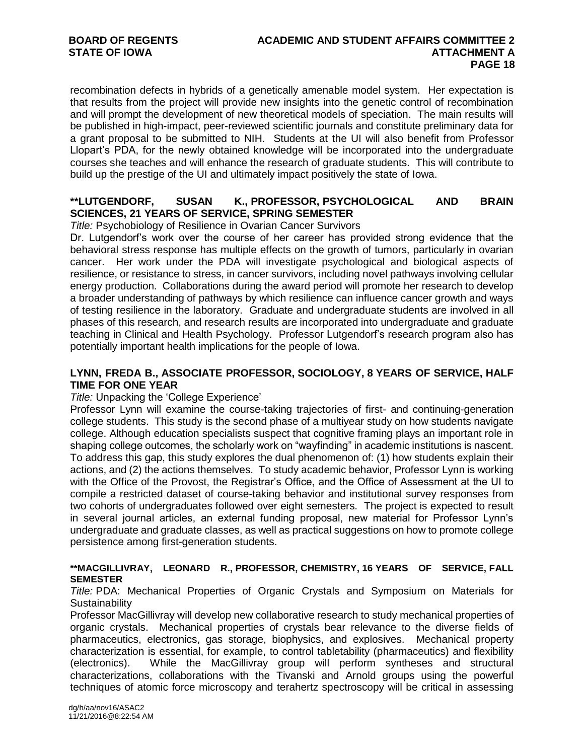recombination defects in hybrids of a genetically amenable model system. Her expectation is that results from the project will provide new insights into the genetic control of recombination and will prompt the development of new theoretical models of speciation. The main results will be published in high-impact, peer-reviewed scientific journals and constitute preliminary data for a grant proposal to be submitted to NIH. Students at the UI will also benefit from Professor Llopart's PDA, for the newly obtained knowledge will be incorporated into the undergraduate courses she teaches and will enhance the research of graduate students. This will contribute to build up the prestige of the UI and ultimately impact positively the state of Iowa.

# **\*\*LUTGENDORF, SUSAN K., PROFESSOR, PSYCHOLOGICAL AND BRAIN SCIENCES, 21 YEARS OF SERVICE, SPRING SEMESTER**

*Title:* Psychobiology of Resilience in Ovarian Cancer Survivors

Dr. Lutgendorf's work over the course of her career has provided strong evidence that the behavioral stress response has multiple effects on the growth of tumors, particularly in ovarian cancer. Her work under the PDA will investigate psychological and biological aspects of resilience, or resistance to stress, in cancer survivors, including novel pathways involving cellular energy production. Collaborations during the award period will promote her research to develop a broader understanding of pathways by which resilience can influence cancer growth and ways of testing resilience in the laboratory. Graduate and undergraduate students are involved in all phases of this research, and research results are incorporated into undergraduate and graduate teaching in Clinical and Health Psychology. Professor Lutgendorf's research program also has potentially important health implications for the people of Iowa.

# **LYNN, FREDA B., ASSOCIATE PROFESSOR, SOCIOLOGY, 8 YEARS OF SERVICE, HALF TIME FOR ONE YEAR**

#### *Title:* Unpacking the 'College Experience'

Professor Lynn will examine the course-taking trajectories of first- and continuing-generation college students. This study is the second phase of a multiyear study on how students navigate college. Although education specialists suspect that cognitive framing plays an important role in shaping college outcomes, the scholarly work on "wayfinding" in academic institutions is nascent. To address this gap, this study explores the dual phenomenon of: (1) how students explain their actions, and (2) the actions themselves. To study academic behavior, Professor Lynn is working with the Office of the Provost, the Registrar's Office, and the Office of Assessment at the UI to compile a restricted dataset of course-taking behavior and institutional survey responses from two cohorts of undergraduates followed over eight semesters. The project is expected to result in several journal articles, an external funding proposal, new material for Professor Lynn's undergraduate and graduate classes, as well as practical suggestions on how to promote college persistence among first-generation students.

# **\*\*MACGILLIVRAY, LEONARD R., PROFESSOR, CHEMISTRY, 16 YEARS OF SERVICE, FALL SEMESTER**

*Title:* PDA: Mechanical Properties of Organic Crystals and Symposium on Materials for **Sustainability** 

Professor MacGillivray will develop new collaborative research to study mechanical properties of organic crystals. Mechanical properties of crystals bear relevance to the diverse fields of pharmaceutics, electronics, gas storage, biophysics, and explosives. Mechanical property characterization is essential, for example, to control tabletability (pharmaceutics) and flexibility (electronics). While the MacGillivray group will perform syntheses and structural characterizations, collaborations with the Tivanski and Arnold groups using the powerful techniques of atomic force microscopy and terahertz spectroscopy will be critical in assessing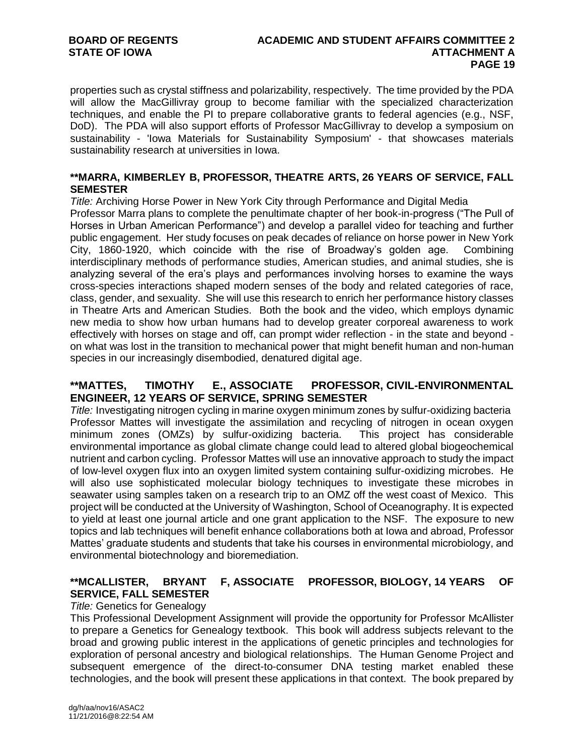properties such as crystal stiffness and polarizability, respectively. The time provided by the PDA will allow the MacGillivray group to become familiar with the specialized characterization techniques, and enable the PI to prepare collaborative grants to federal agencies (e.g., NSF, DoD). The PDA will also support efforts of Professor MacGillivray to develop a symposium on sustainability - 'Iowa Materials for Sustainability Symposium' - that showcases materials sustainability research at universities in Iowa.

#### **\*\*MARRA, KIMBERLEY B, PROFESSOR, THEATRE ARTS, 26 YEARS OF SERVICE, FALL SEMESTER**

*Title:* Archiving Horse Power in New York City through Performance and Digital Media

Professor Marra plans to complete the penultimate chapter of her book-in-progress ("The Pull of Horses in Urban American Performance") and develop a parallel video for teaching and further public engagement. Her study focuses on peak decades of reliance on horse power in New York City, 1860-1920, which coincide with the rise of Broadway's golden age. Combining interdisciplinary methods of performance studies, American studies, and animal studies, she is analyzing several of the era's plays and performances involving horses to examine the ways cross-species interactions shaped modern senses of the body and related categories of race, class, gender, and sexuality. She will use this research to enrich her performance history classes in Theatre Arts and American Studies. Both the book and the video, which employs dynamic new media to show how urban humans had to develop greater corporeal awareness to work effectively with horses on stage and off, can prompt wider reflection - in the state and beyond on what was lost in the transition to mechanical power that might benefit human and non-human species in our increasingly disembodied, denatured digital age.

# **\*\*MATTES, TIMOTHY E., ASSOCIATE PROFESSOR, CIVIL-ENVIRONMENTAL ENGINEER, 12 YEARS OF SERVICE, SPRING SEMESTER**

*Title:* Investigating nitrogen cycling in marine oxygen minimum zones by sulfur-oxidizing bacteria Professor Mattes will investigate the assimilation and recycling of nitrogen in ocean oxygen minimum zones (OMZs) by sulfur-oxidizing bacteria. This project has considerable environmental importance as global climate change could lead to altered global biogeochemical nutrient and carbon cycling. Professor Mattes will use an innovative approach to study the impact of low-level oxygen flux into an oxygen limited system containing sulfur-oxidizing microbes. He will also use sophisticated molecular biology techniques to investigate these microbes in seawater using samples taken on a research trip to an OMZ off the west coast of Mexico. This project will be conducted at the University of Washington, School of Oceanography. It is expected to yield at least one journal article and one grant application to the NSF. The exposure to new topics and lab techniques will benefit enhance collaborations both at Iowa and abroad, Professor Mattes' graduate students and students that take his courses in environmental microbiology, and environmental biotechnology and bioremediation.

# **\*\*MCALLISTER, BRYANT F, ASSOCIATE PROFESSOR, BIOLOGY, 14 YEARS OF SERVICE, FALL SEMESTER**

# *Title:* Genetics for Genealogy

This Professional Development Assignment will provide the opportunity for Professor McAllister to prepare a Genetics for Genealogy textbook. This book will address subjects relevant to the broad and growing public interest in the applications of genetic principles and technologies for exploration of personal ancestry and biological relationships. The Human Genome Project and subsequent emergence of the direct-to-consumer DNA testing market enabled these technologies, and the book will present these applications in that context. The book prepared by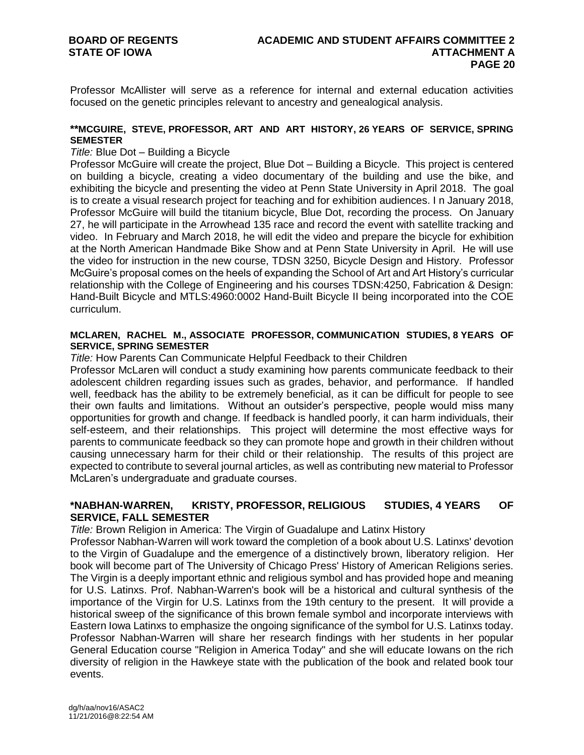Professor McAllister will serve as a reference for internal and external education activities focused on the genetic principles relevant to ancestry and genealogical analysis.

#### **\*\*MCGUIRE, STEVE, PROFESSOR, ART AND ART HISTORY, 26 YEARS OF SERVICE, SPRING SEMESTER**

#### *Title:* Blue Dot – Building a Bicycle

Professor McGuire will create the project, Blue Dot – Building a Bicycle. This project is centered on building a bicycle, creating a video documentary of the building and use the bike, and exhibiting the bicycle and presenting the video at Penn State University in April 2018. The goal is to create a visual research project for teaching and for exhibition audiences. I n January 2018, Professor McGuire will build the titanium bicycle, Blue Dot, recording the process. On January 27, he will participate in the Arrowhead 135 race and record the event with satellite tracking and video. In February and March 2018, he will edit the video and prepare the bicycle for exhibition at the North American Handmade Bike Show and at Penn State University in April. He will use the video for instruction in the new course, TDSN 3250, Bicycle Design and History. Professor McGuire's proposal comes on the heels of expanding the School of Art and Art History's curricular relationship with the College of Engineering and his courses TDSN:4250, Fabrication & Design: Hand-Built Bicycle and MTLS:4960:0002 Hand-Built Bicycle II being incorporated into the COE curriculum.

#### **MCLAREN, RACHEL M., ASSOCIATE PROFESSOR, COMMUNICATION STUDIES, 8 YEARS OF SERVICE, SPRING SEMESTER**

*Title:* How Parents Can Communicate Helpful Feedback to their Children

Professor McLaren will conduct a study examining how parents communicate feedback to their adolescent children regarding issues such as grades, behavior, and performance. If handled well, feedback has the ability to be extremely beneficial, as it can be difficult for people to see their own faults and limitations. Without an outsider's perspective, people would miss many opportunities for growth and change. If feedback is handled poorly, it can harm individuals, their self-esteem, and their relationships. This project will determine the most effective ways for parents to communicate feedback so they can promote hope and growth in their children without causing unnecessary harm for their child or their relationship. The results of this project are expected to contribute to several journal articles, as well as contributing new material to Professor McLaren's undergraduate and graduate courses.

# **\*NABHAN-WARREN, KRISTY, PROFESSOR, RELIGIOUS STUDIES, 4 YEARS OF SERVICE, FALL SEMESTER**

*Title:* Brown Religion in America: The Virgin of Guadalupe and Latinx History

Professor Nabhan-Warren will work toward the completion of a book about U.S. Latinxs' devotion to the Virgin of Guadalupe and the emergence of a distinctively brown, liberatory religion. Her book will become part of The University of Chicago Press' History of American Religions series. The Virgin is a deeply important ethnic and religious symbol and has provided hope and meaning for U.S. Latinxs. Prof. Nabhan-Warren's book will be a historical and cultural synthesis of the importance of the Virgin for U.S. Latinxs from the 19th century to the present. It will provide a historical sweep of the significance of this brown female symbol and incorporate interviews with Eastern Iowa Latinxs to emphasize the ongoing significance of the symbol for U.S. Latinxs today. Professor Nabhan-Warren will share her research findings with her students in her popular General Education course "Religion in America Today" and she will educate Iowans on the rich diversity of religion in the Hawkeye state with the publication of the book and related book tour events.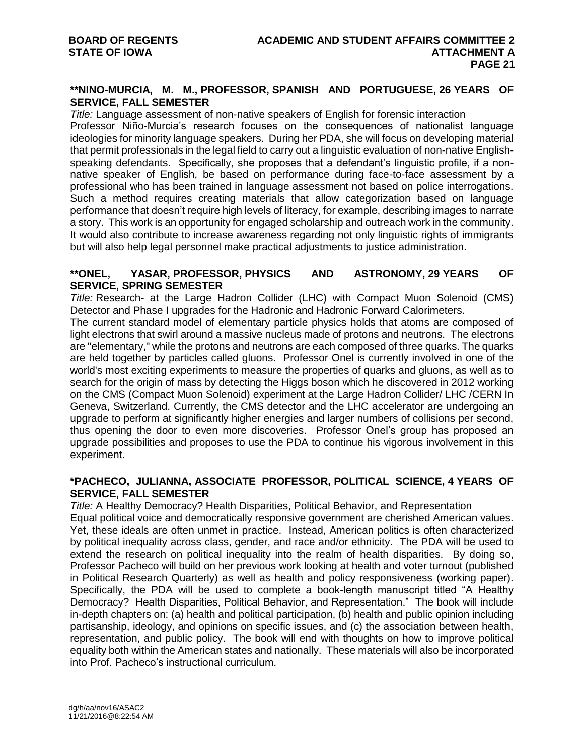# **\*\*NINO-MURCIA, M. M., PROFESSOR, SPANISH AND PORTUGUESE, 26 YEARS OF SERVICE, FALL SEMESTER**

*Title:* Language assessment of non-native speakers of English for forensic interaction Professor Niño-Murcia's research focuses on the consequences of nationalist language ideologies for minority language speakers. During her PDA, she will focus on developing material that permit professionals in the legal field to carry out a linguistic evaluation of non-native Englishspeaking defendants. Specifically, she proposes that a defendant's linguistic profile, if a nonnative speaker of English, be based on performance during face-to-face assessment by a professional who has been trained in language assessment not based on police interrogations. Such a method requires creating materials that allow categorization based on language performance that doesn't require high levels of literacy, for example, describing images to narrate a story. This work is an opportunity for engaged scholarship and outreach work in the community. It would also contribute to increase awareness regarding not only linguistic rights of immigrants but will also help legal personnel make practical adjustments to justice administration.

#### **\*\*ONEL, YASAR, PROFESSOR, PHYSICS AND ASTRONOMY, 29 YEARS OF SERVICE, SPRING SEMESTER**

*Title:* Research- at the Large Hadron Collider (LHC) with Compact Muon Solenoid (CMS) Detector and Phase I upgrades for the Hadronic and Hadronic Forward Calorimeters.

The current standard model of elementary particle physics holds that atoms are composed of light electrons that swirl around a massive nucleus made of protons and neutrons. The electrons are "elementary," while the protons and neutrons are each composed of three quarks. The quarks are held together by particles called gluons. Professor Onel is currently involved in one of the world's most exciting experiments to measure the properties of quarks and gluons, as well as to search for the origin of mass by detecting the Higgs boson which he discovered in 2012 working on the CMS (Compact Muon Solenoid) experiment at the Large Hadron Collider/ LHC /CERN In Geneva, Switzerland. Currently, the CMS detector and the LHC accelerator are undergoing an upgrade to perform at significantly higher energies and larger numbers of collisions per second, thus opening the door to even more discoveries. Professor Onel's group has proposed an upgrade possibilities and proposes to use the PDA to continue his vigorous involvement in this experiment.

#### **\*PACHECO, JULIANNA, ASSOCIATE PROFESSOR, POLITICAL SCIENCE, 4 YEARS OF SERVICE, FALL SEMESTER**

*Title:* A Healthy Democracy? Health Disparities, Political Behavior, and Representation Equal political voice and democratically responsive government are cherished American values. Yet, these ideals are often unmet in practice. Instead, American politics is often characterized by political inequality across class, gender, and race and/or ethnicity. The PDA will be used to extend the research on political inequality into the realm of health disparities. By doing so, Professor Pacheco will build on her previous work looking at health and voter turnout (published in Political Research Quarterly) as well as health and policy responsiveness (working paper). Specifically, the PDA will be used to complete a book-length manuscript titled "A Healthy Democracy? Health Disparities, Political Behavior, and Representation." The book will include in-depth chapters on: (a) health and political participation, (b) health and public opinion including partisanship, ideology, and opinions on specific issues, and (c) the association between health, representation, and public policy. The book will end with thoughts on how to improve political equality both within the American states and nationally. These materials will also be incorporated into Prof. Pacheco's instructional curriculum.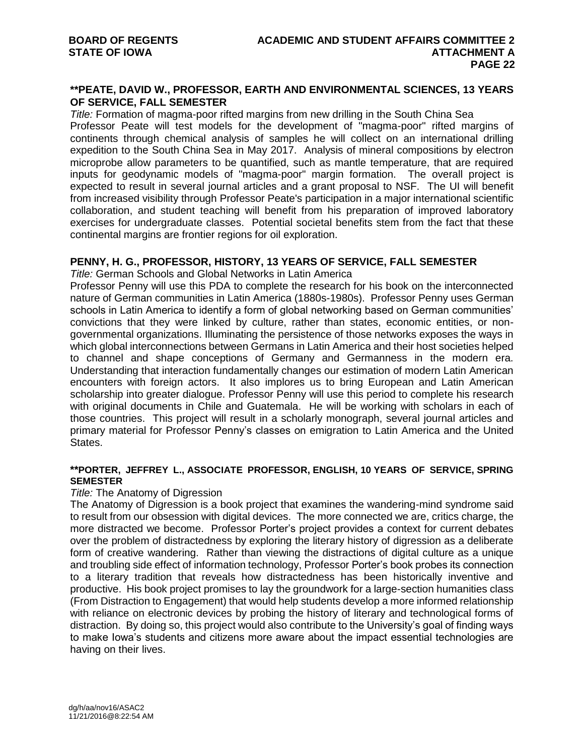# **\*\*PEATE, DAVID W., PROFESSOR, EARTH AND ENVIRONMENTAL SCIENCES, 13 YEARS OF SERVICE, FALL SEMESTER**

*Title:* Formation of magma-poor rifted margins from new drilling in the South China Sea Professor Peate will test models for the development of "magma-poor" rifted margins of continents through chemical analysis of samples he will collect on an international drilling expedition to the South China Sea in May 2017. Analysis of mineral compositions by electron microprobe allow parameters to be quantified, such as mantle temperature, that are required inputs for geodynamic models of "magma-poor" margin formation. The overall project is expected to result in several journal articles and a grant proposal to NSF. The UI will benefit from increased visibility through Professor Peate's participation in a major international scientific collaboration, and student teaching will benefit from his preparation of improved laboratory exercises for undergraduate classes. Potential societal benefits stem from the fact that these continental margins are frontier regions for oil exploration.

#### **PENNY, H. G., PROFESSOR, HISTORY, 13 YEARS OF SERVICE, FALL SEMESTER**

*Title:* German Schools and Global Networks in Latin America

Professor Penny will use this PDA to complete the research for his book on the interconnected nature of German communities in Latin America (1880s-1980s). Professor Penny uses German schools in Latin America to identify a form of global networking based on German communities' convictions that they were linked by culture, rather than states, economic entities, or nongovernmental organizations. Illuminating the persistence of those networks exposes the ways in which global interconnections between Germans in Latin America and their host societies helped to channel and shape conceptions of Germany and Germanness in the modern era. Understanding that interaction fundamentally changes our estimation of modern Latin American encounters with foreign actors. It also implores us to bring European and Latin American scholarship into greater dialogue. Professor Penny will use this period to complete his research with original documents in Chile and Guatemala. He will be working with scholars in each of those countries. This project will result in a scholarly monograph, several journal articles and primary material for Professor Penny's classes on emigration to Latin America and the United States.

#### **\*\*PORTER, JEFFREY L., ASSOCIATE PROFESSOR, ENGLISH, 10 YEARS OF SERVICE, SPRING SEMESTER**

#### *Title:* The Anatomy of Digression

The Anatomy of Digression is a book project that examines the wandering-mind syndrome said to result from our obsession with digital devices. The more connected we are, critics charge, the more distracted we become. Professor Porter's project provides a context for current debates over the problem of distractedness by exploring the literary history of digression as a deliberate form of creative wandering. Rather than viewing the distractions of digital culture as a unique and troubling side effect of information technology, Professor Porter's book probes its connection to a literary tradition that reveals how distractedness has been historically inventive and productive. His book project promises to lay the groundwork for a large-section humanities class (From Distraction to Engagement) that would help students develop a more informed relationship with reliance on electronic devices by probing the history of literary and technological forms of distraction. By doing so, this project would also contribute to the University's goal of finding ways to make Iowa's students and citizens more aware about the impact essential technologies are having on their lives.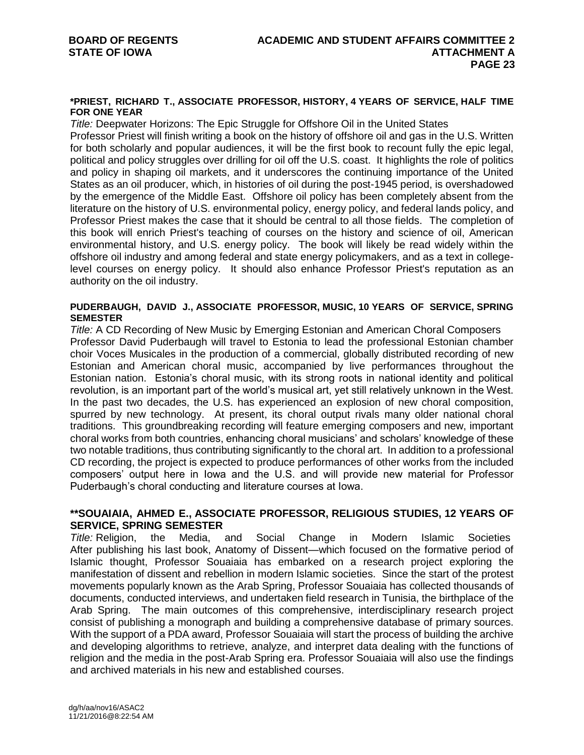#### **\*PRIEST, RICHARD T., ASSOCIATE PROFESSOR, HISTORY, 4 YEARS OF SERVICE, HALF TIME FOR ONE YEAR**

*Title:* Deepwater Horizons: The Epic Struggle for Offshore Oil in the United States

Professor Priest will finish writing a book on the history of offshore oil and gas in the U.S. Written for both scholarly and popular audiences, it will be the first book to recount fully the epic legal, political and policy struggles over drilling for oil off the U.S. coast. It highlights the role of politics and policy in shaping oil markets, and it underscores the continuing importance of the United States as an oil producer, which, in histories of oil during the post-1945 period, is overshadowed by the emergence of the Middle East. Offshore oil policy has been completely absent from the literature on the history of U.S. environmental policy, energy policy, and federal lands policy, and Professor Priest makes the case that it should be central to all those fields. The completion of this book will enrich Priest's teaching of courses on the history and science of oil, American environmental history, and U.S. energy policy. The book will likely be read widely within the offshore oil industry and among federal and state energy policymakers, and as a text in collegelevel courses on energy policy. It should also enhance Professor Priest's reputation as an authority on the oil industry.

#### **PUDERBAUGH, DAVID J., ASSOCIATE PROFESSOR, MUSIC, 10 YEARS OF SERVICE, SPRING SEMESTER**

*Title:* A CD Recording of New Music by Emerging Estonian and American Choral Composers Professor David Puderbaugh will travel to Estonia to lead the professional Estonian chamber choir Voces Musicales in the production of a commercial, globally distributed recording of new Estonian and American choral music, accompanied by live performances throughout the Estonian nation. Estonia's choral music, with its strong roots in national identity and political revolution, is an important part of the world's musical art, yet still relatively unknown in the West. In the past two decades, the U.S. has experienced an explosion of new choral composition, spurred by new technology. At present, its choral output rivals many older national choral traditions. This groundbreaking recording will feature emerging composers and new, important choral works from both countries, enhancing choral musicians' and scholars' knowledge of these two notable traditions, thus contributing significantly to the choral art. In addition to a professional CD recording, the project is expected to produce performances of other works from the included composers' output here in Iowa and the U.S. and will provide new material for Professor Puderbaugh's choral conducting and literature courses at Iowa.

#### **\*\*SOUAIAIA, AHMED E., ASSOCIATE PROFESSOR, RELIGIOUS STUDIES, 12 YEARS OF SERVICE, SPRING SEMESTER**

*Title:* Religion, the Media, and Social Change in Modern Islamic Societies After publishing his last book, Anatomy of Dissent—which focused on the formative period of Islamic thought, Professor Souaiaia has embarked on a research project exploring the manifestation of dissent and rebellion in modern Islamic societies. Since the start of the protest movements popularly known as the Arab Spring, Professor Souaiaia has collected thousands of documents, conducted interviews, and undertaken field research in Tunisia, the birthplace of the Arab Spring. The main outcomes of this comprehensive, interdisciplinary research project consist of publishing a monograph and building a comprehensive database of primary sources. With the support of a PDA award, Professor Souaiaia will start the process of building the archive and developing algorithms to retrieve, analyze, and interpret data dealing with the functions of religion and the media in the post-Arab Spring era. Professor Souaiaia will also use the findings and archived materials in his new and established courses.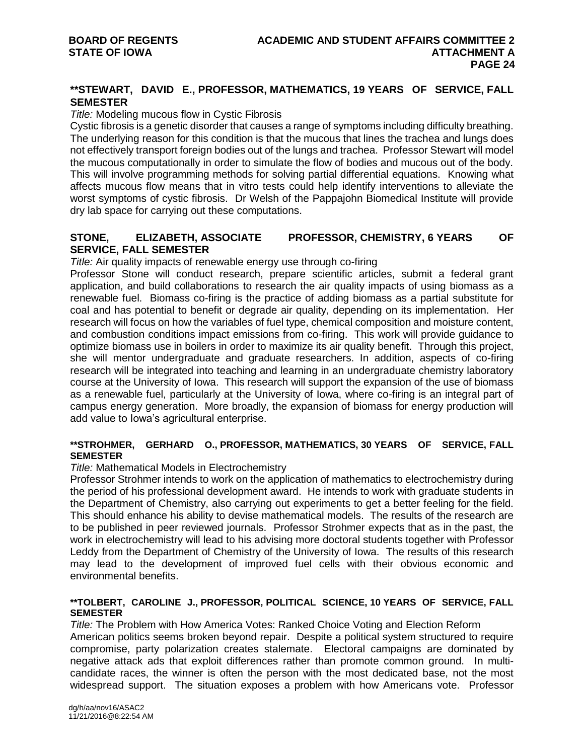# **\*\*STEWART, DAVID E., PROFESSOR, MATHEMATICS, 19 YEARS OF SERVICE, FALL SEMESTER**

#### *Title:* Modeling mucous flow in Cystic Fibrosis

Cystic fibrosis is a genetic disorder that causes a range of symptoms including difficulty breathing. The underlying reason for this condition is that the mucous that lines the trachea and lungs does not effectively transport foreign bodies out of the lungs and trachea. Professor Stewart will model the mucous computationally in order to simulate the flow of bodies and mucous out of the body. This will involve programming methods for solving partial differential equations. Knowing what affects mucous flow means that in vitro tests could help identify interventions to alleviate the worst symptoms of cystic fibrosis. Dr Welsh of the Pappajohn Biomedical Institute will provide dry lab space for carrying out these computations.

# **STONE, ELIZABETH, ASSOCIATE PROFESSOR, CHEMISTRY, 6 YEARS OF SERVICE, FALL SEMESTER**

*Title:* Air quality impacts of renewable energy use through co-firing

Professor Stone will conduct research, prepare scientific articles, submit a federal grant application, and build collaborations to research the air quality impacts of using biomass as a renewable fuel. Biomass co-firing is the practice of adding biomass as a partial substitute for coal and has potential to benefit or degrade air quality, depending on its implementation. Her research will focus on how the variables of fuel type, chemical composition and moisture content, and combustion conditions impact emissions from co-firing. This work will provide guidance to optimize biomass use in boilers in order to maximize its air quality benefit. Through this project, she will mentor undergraduate and graduate researchers. In addition, aspects of co-firing research will be integrated into teaching and learning in an undergraduate chemistry laboratory course at the University of Iowa. This research will support the expansion of the use of biomass as a renewable fuel, particularly at the University of Iowa, where co-firing is an integral part of campus energy generation. More broadly, the expansion of biomass for energy production will add value to Iowa's agricultural enterprise.

#### **\*\*STROHMER, GERHARD O., PROFESSOR, MATHEMATICS, 30 YEARS OF SERVICE, FALL SEMESTER**

#### *Title:* Mathematical Models in Electrochemistry

Professor Strohmer intends to work on the application of mathematics to electrochemistry during the period of his professional development award. He intends to work with graduate students in the Department of Chemistry, also carrying out experiments to get a better feeling for the field. This should enhance his ability to devise mathematical models. The results of the research are to be published in peer reviewed journals. Professor Strohmer expects that as in the past, the work in electrochemistry will lead to his advising more doctoral students together with Professor Leddy from the Department of Chemistry of the University of Iowa. The results of this research may lead to the development of improved fuel cells with their obvious economic and environmental benefits.

#### **\*\*TOLBERT, CAROLINE J., PROFESSOR, POLITICAL SCIENCE, 10 YEARS OF SERVICE, FALL SEMESTER**

*Title:* The Problem with How America Votes: Ranked Choice Voting and Election Reform American politics seems broken beyond repair. Despite a political system structured to require compromise, party polarization creates stalemate. Electoral campaigns are dominated by negative attack ads that exploit differences rather than promote common ground. In multicandidate races, the winner is often the person with the most dedicated base, not the most widespread support. The situation exposes a problem with how Americans vote. Professor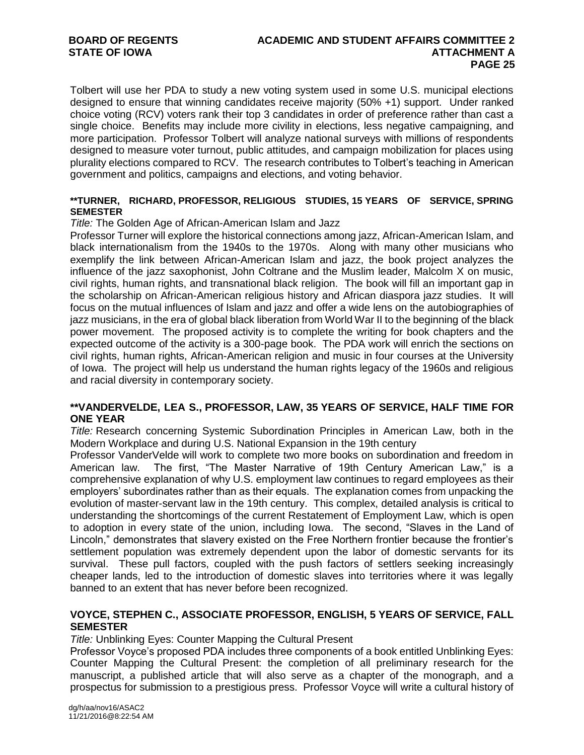Tolbert will use her PDA to study a new voting system used in some U.S. municipal elections designed to ensure that winning candidates receive majority (50% +1) support. Under ranked choice voting (RCV) voters rank their top 3 candidates in order of preference rather than cast a single choice. Benefits may include more civility in elections, less negative campaigning, and more participation. Professor Tolbert will analyze national surveys with millions of respondents designed to measure voter turnout, public attitudes, and campaign mobilization for places using plurality elections compared to RCV. The research contributes to Tolbert's teaching in American government and politics, campaigns and elections, and voting behavior.

#### **\*\*TURNER, RICHARD, PROFESSOR, RELIGIOUS STUDIES, 15 YEARS OF SERVICE, SPRING SEMESTER**

#### *Title:* The Golden Age of African-American Islam and Jazz

Professor Turner will explore the historical connections among jazz, African-American Islam, and black internationalism from the 1940s to the 1970s. Along with many other musicians who exemplify the link between African-American Islam and jazz, the book project analyzes the influence of the jazz saxophonist, John Coltrane and the Muslim leader, Malcolm X on music, civil rights, human rights, and transnational black religion. The book will fill an important gap in the scholarship on African-American religious history and African diaspora jazz studies. It will focus on the mutual influences of Islam and jazz and offer a wide lens on the autobiographies of jazz musicians, in the era of global black liberation from World War II to the beginning of the black power movement. The proposed activity is to complete the writing for book chapters and the expected outcome of the activity is a 300-page book. The PDA work will enrich the sections on civil rights, human rights, African-American religion and music in four courses at the University of Iowa. The project will help us understand the human rights legacy of the 1960s and religious and racial diversity in contemporary society.

# **\*\*VANDERVELDE, LEA S., PROFESSOR, LAW, 35 YEARS OF SERVICE, HALF TIME FOR ONE YEAR**

*Title:* Research concerning Systemic Subordination Principles in American Law, both in the Modern Workplace and during U.S. National Expansion in the 19th century

Professor VanderVelde will work to complete two more books on subordination and freedom in American law. The first, "The Master Narrative of 19th Century American Law," is a comprehensive explanation of why U.S. employment law continues to regard employees as their employers' subordinates rather than as their equals. The explanation comes from unpacking the evolution of master-servant law in the 19th century. This complex, detailed analysis is critical to understanding the shortcomings of the current Restatement of Employment Law, which is open to adoption in every state of the union, including Iowa. The second, "Slaves in the Land of Lincoln," demonstrates that slavery existed on the Free Northern frontier because the frontier's settlement population was extremely dependent upon the labor of domestic servants for its survival. These pull factors, coupled with the push factors of settlers seeking increasingly cheaper lands, led to the introduction of domestic slaves into territories where it was legally banned to an extent that has never before been recognized.

# **VOYCE, STEPHEN C., ASSOCIATE PROFESSOR, ENGLISH, 5 YEARS OF SERVICE, FALL SEMESTER**

*Title:* Unblinking Eyes: Counter Mapping the Cultural Present

Professor Voyce's proposed PDA includes three components of a book entitled Unblinking Eyes: Counter Mapping the Cultural Present: the completion of all preliminary research for the manuscript, a published article that will also serve as a chapter of the monograph, and a prospectus for submission to a prestigious press. Professor Voyce will write a cultural history of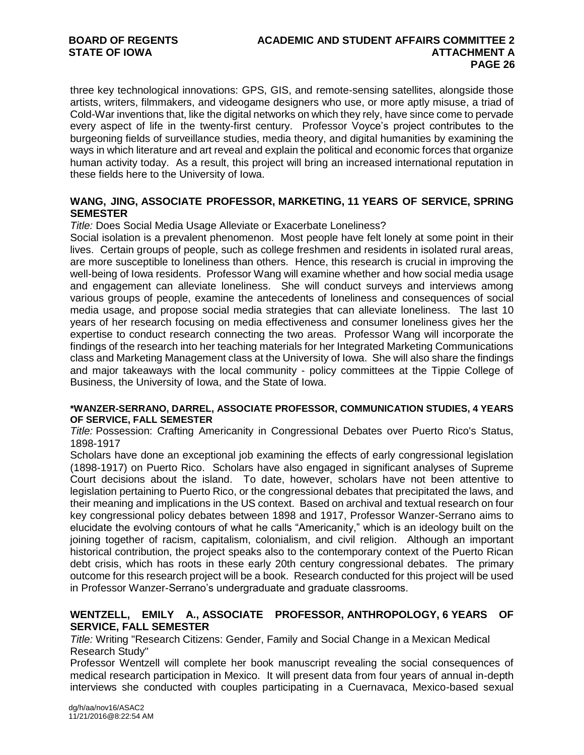# **BOARD OF REGENTS ACADEMIC AND STUDENT AFFAIRS COMMITTEE 2 PAGE 26**

three key technological innovations: GPS, GIS, and remote-sensing satellites, alongside those artists, writers, filmmakers, and videogame designers who use, or more aptly misuse, a triad of Cold-War inventions that, like the digital networks on which they rely, have since come to pervade every aspect of life in the twenty-first century. Professor Voyce's project contributes to the burgeoning fields of surveillance studies, media theory, and digital humanities by examining the ways in which literature and art reveal and explain the political and economic forces that organize human activity today. As a result, this project will bring an increased international reputation in these fields here to the University of Iowa.

#### **WANG, JING, ASSOCIATE PROFESSOR, MARKETING, 11 YEARS OF SERVICE, SPRING SEMESTER**

*Title:* Does Social Media Usage Alleviate or Exacerbate Loneliness?

Social isolation is a prevalent phenomenon. Most people have felt lonely at some point in their lives. Certain groups of people, such as college freshmen and residents in isolated rural areas, are more susceptible to loneliness than others. Hence, this research is crucial in improving the well-being of Iowa residents. Professor Wang will examine whether and how social media usage and engagement can alleviate loneliness. She will conduct surveys and interviews among various groups of people, examine the antecedents of loneliness and consequences of social media usage, and propose social media strategies that can alleviate loneliness. The last 10 years of her research focusing on media effectiveness and consumer loneliness gives her the expertise to conduct research connecting the two areas. Professor Wang will incorporate the findings of the research into her teaching materials for her Integrated Marketing Communications class and Marketing Management class at the University of Iowa. She will also share the findings and major takeaways with the local community - policy committees at the Tippie College of Business, the University of Iowa, and the State of Iowa.

#### **\*WANZER-SERRANO, DARREL, ASSOCIATE PROFESSOR, COMMUNICATION STUDIES, 4 YEARS OF SERVICE, FALL SEMESTER**

*Title:* Possession: Crafting Americanity in Congressional Debates over Puerto Rico's Status, 1898-1917

Scholars have done an exceptional job examining the effects of early congressional legislation (1898-1917) on Puerto Rico. Scholars have also engaged in significant analyses of Supreme Court decisions about the island. To date, however, scholars have not been attentive to legislation pertaining to Puerto Rico, or the congressional debates that precipitated the laws, and their meaning and implications in the US context. Based on archival and textual research on four key congressional policy debates between 1898 and 1917, Professor Wanzer-Serrano aims to elucidate the evolving contours of what he calls "Americanity," which is an ideology built on the joining together of racism, capitalism, colonialism, and civil religion. Although an important historical contribution, the project speaks also to the contemporary context of the Puerto Rican debt crisis, which has roots in these early 20th century congressional debates. The primary outcome for this research project will be a book. Research conducted for this project will be used in Professor Wanzer-Serrano's undergraduate and graduate classrooms.

# **WENTZELL, EMILY A., ASSOCIATE PROFESSOR, ANTHROPOLOGY, 6 YEARS OF SERVICE, FALL SEMESTER**

*Title:* Writing "Research Citizens: Gender, Family and Social Change in a Mexican Medical Research Study"

Professor Wentzell will complete her book manuscript revealing the social consequences of medical research participation in Mexico. It will present data from four years of annual in-depth interviews she conducted with couples participating in a Cuernavaca, Mexico-based sexual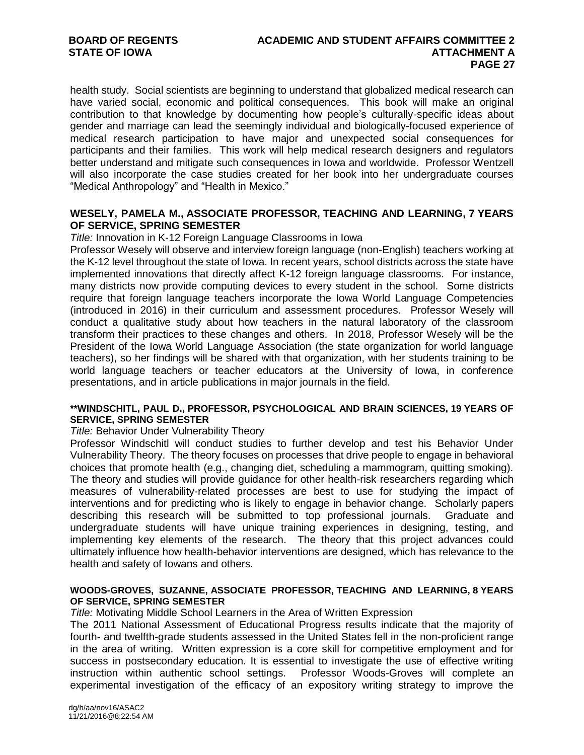health study. Social scientists are beginning to understand that globalized medical research can have varied social, economic and political consequences. This book will make an original contribution to that knowledge by documenting how people's culturally-specific ideas about gender and marriage can lead the seemingly individual and biologically-focused experience of medical research participation to have major and unexpected social consequences for participants and their families. This work will help medical research designers and regulators better understand and mitigate such consequences in Iowa and worldwide. Professor Wentzell will also incorporate the case studies created for her book into her undergraduate courses "Medical Anthropology" and "Health in Mexico."

# **WESELY, PAMELA M., ASSOCIATE PROFESSOR, TEACHING AND LEARNING, 7 YEARS OF SERVICE, SPRING SEMESTER**

*Title:* Innovation in K-12 Foreign Language Classrooms in Iowa

Professor Wesely will observe and interview foreign language (non-English) teachers working at the K-12 level throughout the state of Iowa. In recent years, school districts across the state have implemented innovations that directly affect K-12 foreign language classrooms. For instance, many districts now provide computing devices to every student in the school. Some districts require that foreign language teachers incorporate the Iowa World Language Competencies (introduced in 2016) in their curriculum and assessment procedures. Professor Wesely will conduct a qualitative study about how teachers in the natural laboratory of the classroom transform their practices to these changes and others. In 2018, Professor Wesely will be the President of the Iowa World Language Association (the state organization for world language teachers), so her findings will be shared with that organization, with her students training to be world language teachers or teacher educators at the University of Iowa, in conference presentations, and in article publications in major journals in the field.

#### **\*\*WINDSCHITL, PAUL D., PROFESSOR, PSYCHOLOGICAL AND BRAIN SCIENCES, 19 YEARS OF SERVICE, SPRING SEMESTER**

#### *Title:* Behavior Under Vulnerability Theory

Professor Windschitl will conduct studies to further develop and test his Behavior Under Vulnerability Theory. The theory focuses on processes that drive people to engage in behavioral choices that promote health (e.g., changing diet, scheduling a mammogram, quitting smoking). The theory and studies will provide guidance for other health-risk researchers regarding which measures of vulnerability-related processes are best to use for studying the impact of interventions and for predicting who is likely to engage in behavior change. Scholarly papers describing this research will be submitted to top professional journals. Graduate and undergraduate students will have unique training experiences in designing, testing, and implementing key elements of the research. The theory that this project advances could ultimately influence how health-behavior interventions are designed, which has relevance to the health and safety of Iowans and others.

#### **WOODS-GROVES, SUZANNE, ASSOCIATE PROFESSOR, TEACHING AND LEARNING, 8 YEARS OF SERVICE, SPRING SEMESTER**

*Title:* Motivating Middle School Learners in the Area of Written Expression

The 2011 National Assessment of Educational Progress results indicate that the majority of fourth- and twelfth-grade students assessed in the United States fell in the non-proficient range in the area of writing. Written expression is a core skill for competitive employment and for success in postsecondary education. It is essential to investigate the use of effective writing instruction within authentic school settings. Professor Woods-Groves will complete an experimental investigation of the efficacy of an expository writing strategy to improve the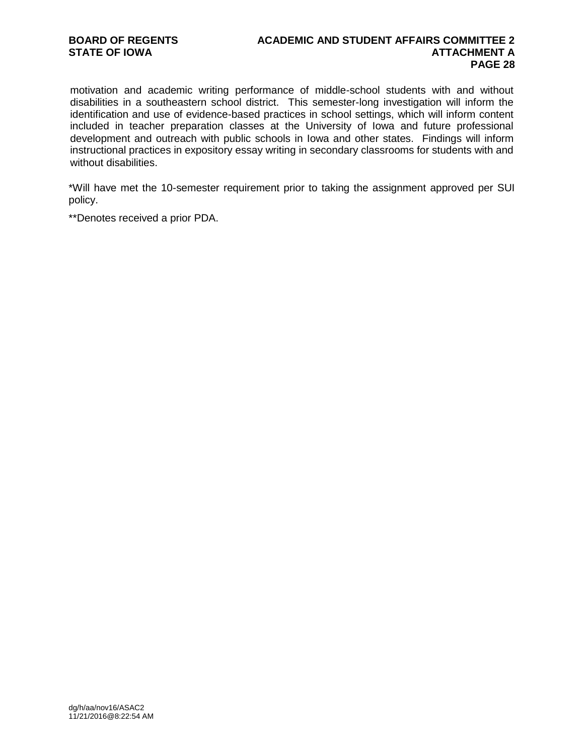#### **BOARD OF REGENTS ACADEMIC AND STUDENT AFFAIRS COMMITTEE 2 STATE OF IOWA ATTACHMENT A PAGE 28**

motivation and academic writing performance of middle-school students with and without disabilities in a southeastern school district. This semester-long investigation will inform the identification and use of evidence-based practices in school settings, which will inform content included in teacher preparation classes at the University of Iowa and future professional development and outreach with public schools in Iowa and other states. Findings will inform instructional practices in expository essay writing in secondary classrooms for students with and without disabilities.

\*Will have met the 10-semester requirement prior to taking the assignment approved per SUI policy.

\*\*Denotes received a prior PDA.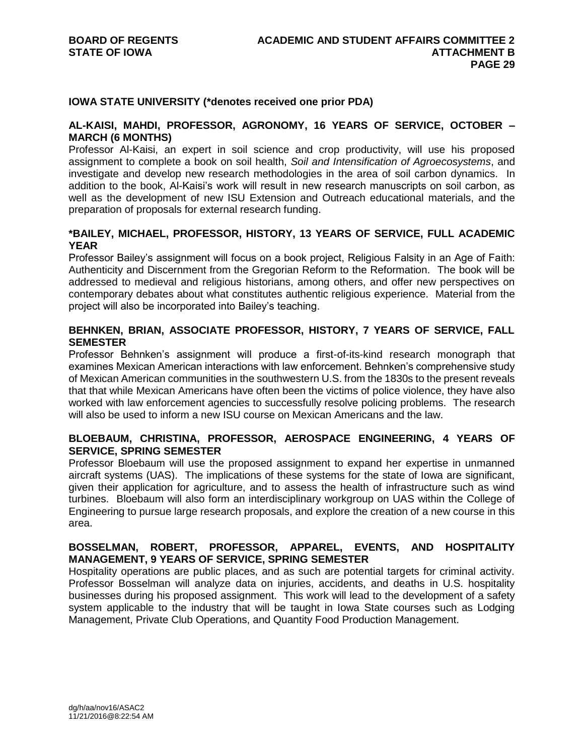#### **IOWA STATE UNIVERSITY (\*denotes received one prior PDA)**

#### **AL-KAISI, MAHDI, PROFESSOR, AGRONOMY, 16 YEARS OF SERVICE, OCTOBER – MARCH (6 MONTHS)**

Professor Al-Kaisi, an expert in soil science and crop productivity, will use his proposed assignment to complete a book on soil health, *Soil and Intensification of Agroecosystems*, and investigate and develop new research methodologies in the area of soil carbon dynamics. In addition to the book, Al-Kaisi's work will result in new research manuscripts on soil carbon, as well as the development of new ISU Extension and Outreach educational materials, and the preparation of proposals for external research funding.

# **\*BAILEY, MICHAEL, PROFESSOR, HISTORY, 13 YEARS OF SERVICE, FULL ACADEMIC YEAR**

Professor Bailey's assignment will focus on a book project, Religious Falsity in an Age of Faith: Authenticity and Discernment from the Gregorian Reform to the Reformation. The book will be addressed to medieval and religious historians, among others, and offer new perspectives on contemporary debates about what constitutes authentic religious experience. Material from the project will also be incorporated into Bailey's teaching.

# **BEHNKEN, BRIAN, ASSOCIATE PROFESSOR, HISTORY, 7 YEARS OF SERVICE, FALL SEMESTER**

Professor Behnken's assignment will produce a first-of-its-kind research monograph that examines Mexican American interactions with law enforcement. Behnken's comprehensive study of Mexican American communities in the southwestern U.S. from the 1830s to the present reveals that that while Mexican Americans have often been the victims of police violence, they have also worked with law enforcement agencies to successfully resolve policing problems. The research will also be used to inform a new ISU course on Mexican Americans and the law.

# **BLOEBAUM, CHRISTINA, PROFESSOR, AEROSPACE ENGINEERING, 4 YEARS OF SERVICE, SPRING SEMESTER**

Professor Bloebaum will use the proposed assignment to expand her expertise in unmanned aircraft systems (UAS). The implications of these systems for the state of Iowa are significant, given their application for agriculture, and to assess the health of infrastructure such as wind turbines. Bloebaum will also form an interdisciplinary workgroup on UAS within the College of Engineering to pursue large research proposals, and explore the creation of a new course in this area.

#### **BOSSELMAN, ROBERT, PROFESSOR, APPAREL, EVENTS, AND HOSPITALITY MANAGEMENT, 9 YEARS OF SERVICE, SPRING SEMESTER**

Hospitality operations are public places, and as such are potential targets for criminal activity. Professor Bosselman will analyze data on injuries, accidents, and deaths in U.S. hospitality businesses during his proposed assignment. This work will lead to the development of a safety system applicable to the industry that will be taught in Iowa State courses such as Lodging Management, Private Club Operations, and Quantity Food Production Management.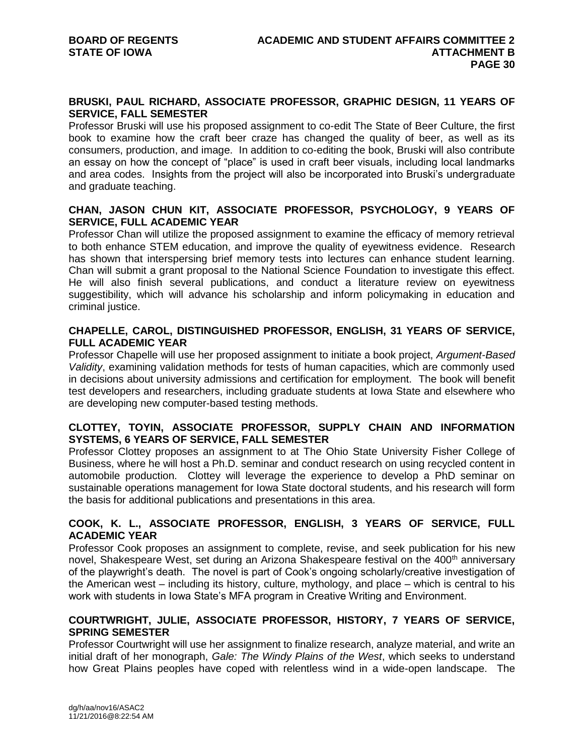#### **BRUSKI, PAUL RICHARD, ASSOCIATE PROFESSOR, GRAPHIC DESIGN, 11 YEARS OF SERVICE, FALL SEMESTER**

Professor Bruski will use his proposed assignment to co-edit The State of Beer Culture, the first book to examine how the craft beer craze has changed the quality of beer, as well as its consumers, production, and image. In addition to co-editing the book, Bruski will also contribute an essay on how the concept of "place" is used in craft beer visuals, including local landmarks and area codes. Insights from the project will also be incorporated into Bruski's undergraduate and graduate teaching.

# **CHAN, JASON CHUN KIT, ASSOCIATE PROFESSOR, PSYCHOLOGY, 9 YEARS OF SERVICE, FULL ACADEMIC YEAR**

Professor Chan will utilize the proposed assignment to examine the efficacy of memory retrieval to both enhance STEM education, and improve the quality of eyewitness evidence. Research has shown that interspersing brief memory tests into lectures can enhance student learning. Chan will submit a grant proposal to the National Science Foundation to investigate this effect. He will also finish several publications, and conduct a literature review on eyewitness suggestibility, which will advance his scholarship and inform policymaking in education and criminal justice.

# **CHAPELLE, CAROL, DISTINGUISHED PROFESSOR, ENGLISH, 31 YEARS OF SERVICE, FULL ACADEMIC YEAR**

Professor Chapelle will use her proposed assignment to initiate a book project, *Argument-Based Validity*, examining validation methods for tests of human capacities, which are commonly used in decisions about university admissions and certification for employment. The book will benefit test developers and researchers, including graduate students at Iowa State and elsewhere who are developing new computer-based testing methods.

#### **CLOTTEY, TOYIN, ASSOCIATE PROFESSOR, SUPPLY CHAIN AND INFORMATION SYSTEMS, 6 YEARS OF SERVICE, FALL SEMESTER**

Professor Clottey proposes an assignment to at The Ohio State University Fisher College of Business, where he will host a Ph.D. seminar and conduct research on using recycled content in automobile production. Clottey will leverage the experience to develop a PhD seminar on sustainable operations management for Iowa State doctoral students, and his research will form the basis for additional publications and presentations in this area.

# **COOK, K. L., ASSOCIATE PROFESSOR, ENGLISH, 3 YEARS OF SERVICE, FULL ACADEMIC YEAR**

Professor Cook proposes an assignment to complete, revise, and seek publication for his new novel, Shakespeare West, set during an Arizona Shakespeare festival on the 400<sup>th</sup> anniversary of the playwright's death. The novel is part of Cook's ongoing scholarly/creative investigation of the American west – including its history, culture, mythology, and place – which is central to his work with students in Iowa State's MFA program in Creative Writing and Environment.

# **COURTWRIGHT, JULIE, ASSOCIATE PROFESSOR, HISTORY, 7 YEARS OF SERVICE, SPRING SEMESTER**

Professor Courtwright will use her assignment to finalize research, analyze material, and write an initial draft of her monograph, *Gale: The Windy Plains of the West*, which seeks to understand how Great Plains peoples have coped with relentless wind in a wide-open landscape. The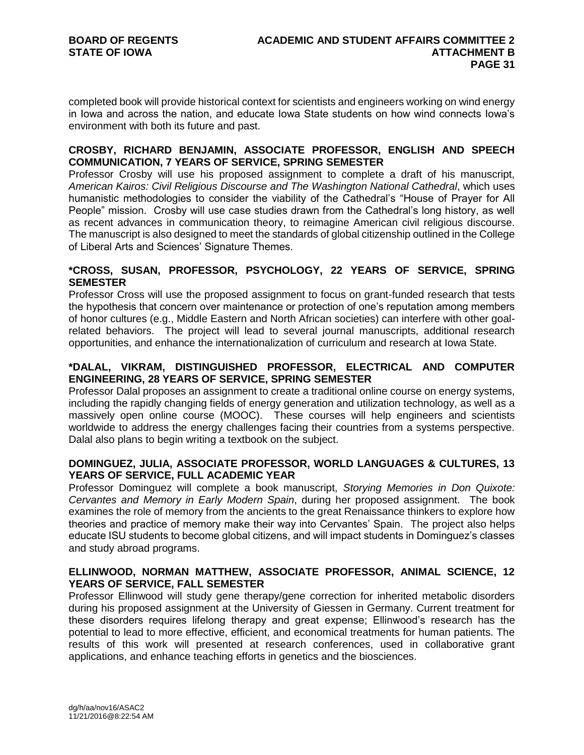completed book will provide historical context for scientists and engineers working on wind energy in Iowa and across the nation, and educate Iowa State students on how wind connects Iowa's environment with both its future and past.

# **CROSBY, RICHARD BENJAMIN, ASSOCIATE PROFESSOR, ENGLISH AND SPEECH COMMUNICATION, 7 YEARS OF SERVICE, SPRING SEMESTER**

Professor Crosby will use his proposed assignment to complete a draft of his manuscript, *American Kairos: Civil Religious Discourse and The Washington National Cathedral*, which uses humanistic methodologies to consider the viability of the Cathedral's "House of Prayer for All People" mission. Crosby will use case studies drawn from the Cathedral's long history, as well as recent advances in communication theory, to reimagine American civil religious discourse. The manuscript is also designed to meet the standards of global citizenship outlined in the College of Liberal Arts and Sciences' Signature Themes.

# **\*CROSS, SUSAN, PROFESSOR, PSYCHOLOGY, 22 YEARS OF SERVICE, SPRING SEMESTER**

Professor Cross will use the proposed assignment to focus on grant-funded research that tests the hypothesis that concern over maintenance or protection of one's reputation among members of honor cultures (e.g., Middle Eastern and North African societies) can interfere with other goalrelated behaviors. The project will lead to several journal manuscripts, additional research opportunities, and enhance the internationalization of curriculum and research at Iowa State.

# **\*DALAL, VIKRAM, DISTINGUISHED PROFESSOR, ELECTRICAL AND COMPUTER ENGINEERING, 28 YEARS OF SERVICE, SPRING SEMESTER**

Professor Dalal proposes an assignment to create a traditional online course on energy systems, including the rapidly changing fields of energy generation and utilization technology, as well as a massively open online course (MOOC). These courses will help engineers and scientists worldwide to address the energy challenges facing their countries from a systems perspective. Dalal also plans to begin writing a textbook on the subject.

# **DOMINGUEZ, JULIA, ASSOCIATE PROFESSOR, WORLD LANGUAGES & CULTURES, 13 YEARS OF SERVICE, FULL ACADEMIC YEAR**

Professor Dominguez will complete a book manuscript, *Storying Memories in Don Quixote: Cervantes and Memory in Early Modern Spain*, during her proposed assignment. The book examines the role of memory from the ancients to the great Renaissance thinkers to explore how theories and practice of memory make their way into Cervantes' Spain. The project also helps educate ISU students to become global citizens, and will impact students in Dominguez's classes and study abroad programs.

# **ELLINWOOD, NORMAN MATTHEW, ASSOCIATE PROFESSOR, ANIMAL SCIENCE, 12 YEARS OF SERVICE, FALL SEMESTER**

Professor Ellinwood will study gene therapy/gene correction for inherited metabolic disorders during his proposed assignment at the University of Giessen in Germany. Current treatment for these disorders requires lifelong therapy and great expense; Ellinwood's research has the potential to lead to more effective, efficient, and economical treatments for human patients. The results of this work will presented at research conferences, used in collaborative grant applications, and enhance teaching efforts in genetics and the biosciences.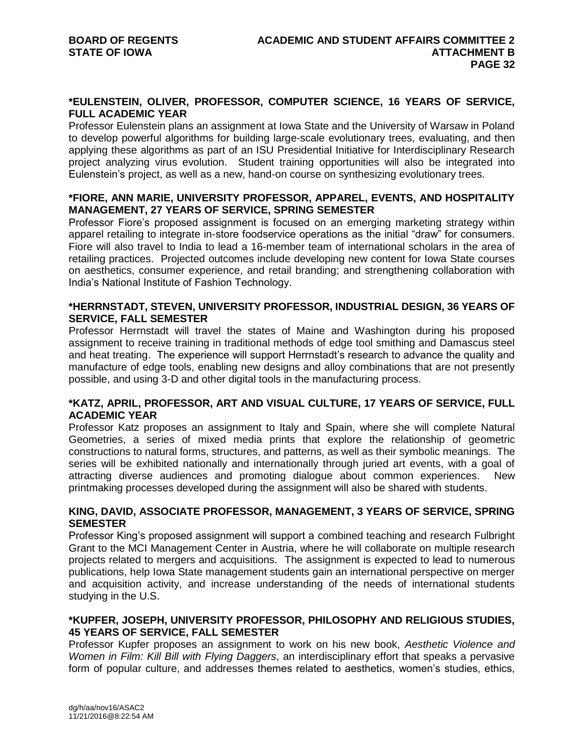#### **\*EULENSTEIN, OLIVER, PROFESSOR, COMPUTER SCIENCE, 16 YEARS OF SERVICE, FULL ACADEMIC YEAR**

Professor Eulenstein plans an assignment at Iowa State and the University of Warsaw in Poland to develop powerful algorithms for building large-scale evolutionary trees, evaluating, and then applying these algorithms as part of an ISU Presidential Initiative for Interdisciplinary Research project analyzing virus evolution. Student training opportunities will also be integrated into Eulenstein's project, as well as a new, hand-on course on synthesizing evolutionary trees.

# **\*FIORE, ANN MARIE, UNIVERSITY PROFESSOR, APPAREL, EVENTS, AND HOSPITALITY MANAGEMENT, 27 YEARS OF SERVICE, SPRING SEMESTER**

Professor Fiore's proposed assignment is focused on an emerging marketing strategy within apparel retailing to integrate in-store foodservice operations as the initial "draw" for consumers. Fiore will also travel to India to lead a 16-member team of international scholars in the area of retailing practices. Projected outcomes include developing new content for Iowa State courses on aesthetics, consumer experience, and retail branding; and strengthening collaboration with India's National Institute of Fashion Technology.

# **\*HERRNSTADT, STEVEN, UNIVERSITY PROFESSOR, INDUSTRIAL DESIGN, 36 YEARS OF SERVICE, FALL SEMESTER**

Professor Herrnstadt will travel the states of Maine and Washington during his proposed assignment to receive training in traditional methods of edge tool smithing and Damascus steel and heat treating. The experience will support Herrnstadt's research to advance the quality and manufacture of edge tools, enabling new designs and alloy combinations that are not presently possible, and using 3-D and other digital tools in the manufacturing process.

# **\*KATZ, APRIL, PROFESSOR, ART AND VISUAL CULTURE, 17 YEARS OF SERVICE, FULL ACADEMIC YEAR**

Professor Katz proposes an assignment to Italy and Spain, where she will complete Natural Geometries, a series of mixed media prints that explore the relationship of geometric constructions to natural forms, structures, and patterns, as well as their symbolic meanings. The series will be exhibited nationally and internationally through juried art events, with a goal of attracting diverse audiences and promoting dialogue about common experiences. New printmaking processes developed during the assignment will also be shared with students.

#### **KING, DAVID, ASSOCIATE PROFESSOR, MANAGEMENT, 3 YEARS OF SERVICE, SPRING SEMESTER**

Professor King's proposed assignment will support a combined teaching and research Fulbright Grant to the MCI Management Center in Austria, where he will collaborate on multiple research projects related to mergers and acquisitions. The assignment is expected to lead to numerous publications, help Iowa State management students gain an international perspective on merger and acquisition activity, and increase understanding of the needs of international students studying in the U.S.

# **\*KUPFER, JOSEPH, UNIVERSITY PROFESSOR, PHILOSOPHY AND RELIGIOUS STUDIES, 45 YEARS OF SERVICE, FALL SEMESTER**

Professor Kupfer proposes an assignment to work on his new book, *Aesthetic Violence and Women in Film: Kill Bill with Flying Daggers*, an interdisciplinary effort that speaks a pervasive form of popular culture, and addresses themes related to aesthetics, women's studies, ethics,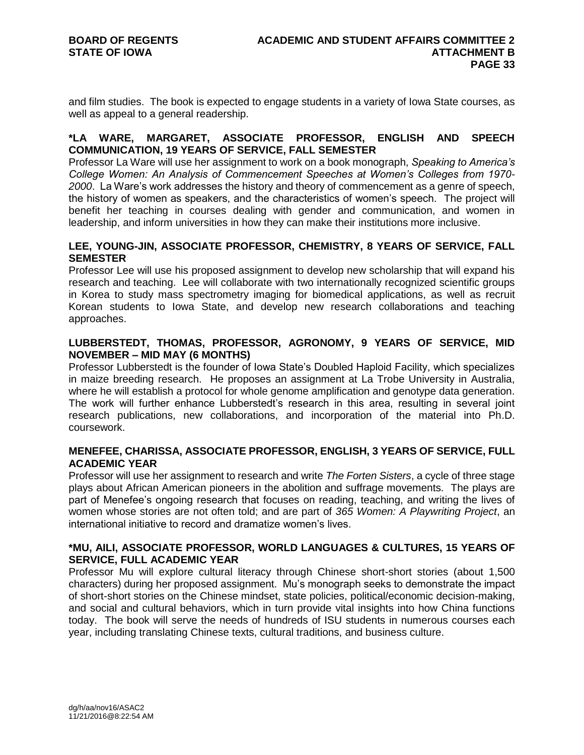and film studies. The book is expected to engage students in a variety of Iowa State courses, as well as appeal to a general readership.

#### **\*LA WARE, MARGARET, ASSOCIATE PROFESSOR, ENGLISH AND SPEECH COMMUNICATION, 19 YEARS OF SERVICE, FALL SEMESTER**

Professor La Ware will use her assignment to work on a book monograph, *Speaking to America's College Women: An Analysis of Commencement Speeches at Women's Colleges from 1970- 2000*. La Ware's work addresses the history and theory of commencement as a genre of speech, the history of women as speakers, and the characteristics of women's speech. The project will benefit her teaching in courses dealing with gender and communication, and women in leadership, and inform universities in how they can make their institutions more inclusive.

#### **LEE, YOUNG-JIN, ASSOCIATE PROFESSOR, CHEMISTRY, 8 YEARS OF SERVICE, FALL SEMESTER**

Professor Lee will use his proposed assignment to develop new scholarship that will expand his research and teaching. Lee will collaborate with two internationally recognized scientific groups in Korea to study mass spectrometry imaging for biomedical applications, as well as recruit Korean students to Iowa State, and develop new research collaborations and teaching approaches.

# **LUBBERSTEDT, THOMAS, PROFESSOR, AGRONOMY, 9 YEARS OF SERVICE, MID NOVEMBER – MID MAY (6 MONTHS)**

Professor Lubberstedt is the founder of Iowa State's Doubled Haploid Facility, which specializes in maize breeding research. He proposes an assignment at La Trobe University in Australia, where he will establish a protocol for whole genome amplification and genotype data generation. The work will further enhance Lubberstedt's research in this area, resulting in several joint research publications, new collaborations, and incorporation of the material into Ph.D. coursework.

#### **MENEFEE, CHARISSA, ASSOCIATE PROFESSOR, ENGLISH, 3 YEARS OF SERVICE, FULL ACADEMIC YEAR**

Professor will use her assignment to research and write *The Forten Sisters*, a cycle of three stage plays about African American pioneers in the abolition and suffrage movements. The plays are part of Menefee's ongoing research that focuses on reading, teaching, and writing the lives of women whose stories are not often told; and are part of *365 Women: A Playwriting Project*, an international initiative to record and dramatize women's lives.

#### **\*MU, AILI, ASSOCIATE PROFESSOR, WORLD LANGUAGES & CULTURES, 15 YEARS OF SERVICE, FULL ACADEMIC YEAR**

Professor Mu will explore cultural literacy through Chinese short-short stories (about 1,500 characters) during her proposed assignment. Mu's monograph seeks to demonstrate the impact of short-short stories on the Chinese mindset, state policies, political/economic decision-making, and social and cultural behaviors, which in turn provide vital insights into how China functions today. The book will serve the needs of hundreds of ISU students in numerous courses each year, including translating Chinese texts, cultural traditions, and business culture.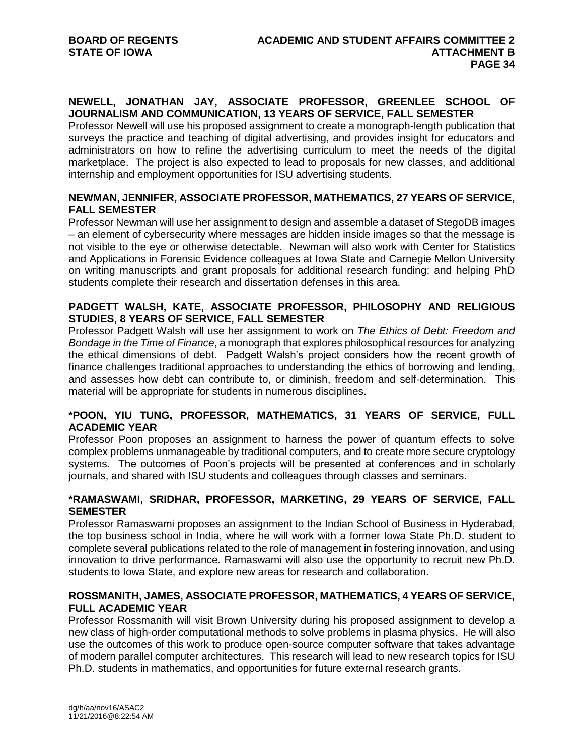# **NEWELL, JONATHAN JAY, ASSOCIATE PROFESSOR, GREENLEE SCHOOL OF JOURNALISM AND COMMUNICATION, 13 YEARS OF SERVICE, FALL SEMESTER**

Professor Newell will use his proposed assignment to create a monograph-length publication that surveys the practice and teaching of digital advertising, and provides insight for educators and administrators on how to refine the advertising curriculum to meet the needs of the digital marketplace. The project is also expected to lead to proposals for new classes, and additional internship and employment opportunities for ISU advertising students.

# **NEWMAN, JENNIFER, ASSOCIATE PROFESSOR, MATHEMATICS, 27 YEARS OF SERVICE, FALL SEMESTER**

Professor Newman will use her assignment to design and assemble a dataset of StegoDB images – an element of cybersecurity where messages are hidden inside images so that the message is not visible to the eye or otherwise detectable. Newman will also work with Center for Statistics and Applications in Forensic Evidence colleagues at Iowa State and Carnegie Mellon University on writing manuscripts and grant proposals for additional research funding; and helping PhD students complete their research and dissertation defenses in this area.

# **PADGETT WALSH, KATE, ASSOCIATE PROFESSOR, PHILOSOPHY AND RELIGIOUS STUDIES, 8 YEARS OF SERVICE, FALL SEMESTER**

Professor Padgett Walsh will use her assignment to work on *The Ethics of Debt: Freedom and Bondage in the Time of Finance*, a monograph that explores philosophical resources for analyzing the ethical dimensions of debt. Padgett Walsh's project considers how the recent growth of finance challenges traditional approaches to understanding the ethics of borrowing and lending, and assesses how debt can contribute to, or diminish, freedom and self-determination. This material will be appropriate for students in numerous disciplines.

# **\*POON, YIU TUNG, PROFESSOR, MATHEMATICS, 31 YEARS OF SERVICE, FULL ACADEMIC YEAR**

Professor Poon proposes an assignment to harness the power of quantum effects to solve complex problems unmanageable by traditional computers, and to create more secure cryptology systems. The outcomes of Poon's projects will be presented at conferences and in scholarly journals, and shared with ISU students and colleagues through classes and seminars.

# **\*RAMASWAMI, SRIDHAR, PROFESSOR, MARKETING, 29 YEARS OF SERVICE, FALL SEMESTER**

Professor Ramaswami proposes an assignment to the Indian School of Business in Hyderabad, the top business school in India, where he will work with a former Iowa State Ph.D. student to complete several publications related to the role of management in fostering innovation, and using innovation to drive performance. Ramaswami will also use the opportunity to recruit new Ph.D. students to Iowa State, and explore new areas for research and collaboration.

# **ROSSMANITH, JAMES, ASSOCIATE PROFESSOR, MATHEMATICS, 4 YEARS OF SERVICE, FULL ACADEMIC YEAR**

Professor Rossmanith will visit Brown University during his proposed assignment to develop a new class of high-order computational methods to solve problems in plasma physics. He will also use the outcomes of this work to produce open-source computer software that takes advantage of modern parallel computer architectures. This research will lead to new research topics for ISU Ph.D. students in mathematics, and opportunities for future external research grants.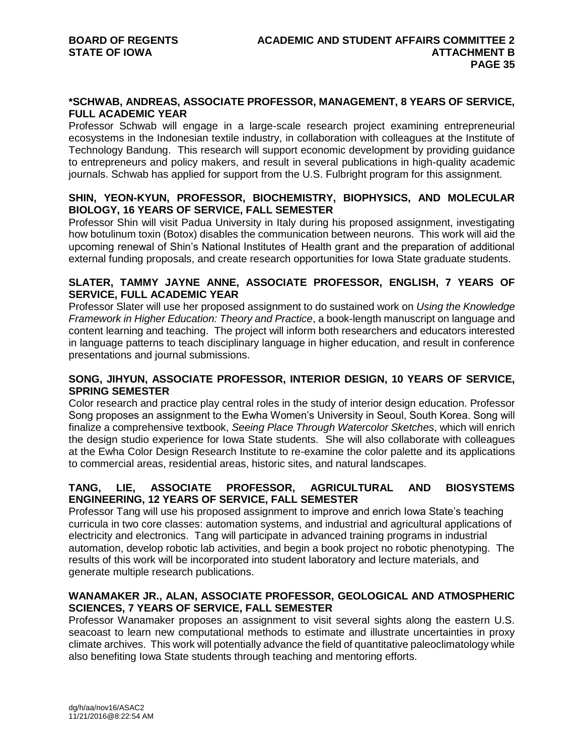#### **\*SCHWAB, ANDREAS, ASSOCIATE PROFESSOR, MANAGEMENT, 8 YEARS OF SERVICE, FULL ACADEMIC YEAR**

Professor Schwab will engage in a large-scale research project examining entrepreneurial ecosystems in the Indonesian textile industry, in collaboration with colleagues at the Institute of Technology Bandung. This research will support economic development by providing guidance to entrepreneurs and policy makers, and result in several publications in high-quality academic journals. Schwab has applied for support from the U.S. Fulbright program for this assignment.

# **SHIN, YEON-KYUN, PROFESSOR, BIOCHEMISTRY, BIOPHYSICS, AND MOLECULAR BIOLOGY, 16 YEARS OF SERVICE, FALL SEMESTER**

Professor Shin will visit Padua University in Italy during his proposed assignment, investigating how botulinum toxin (Botox) disables the communication between neurons. This work will aid the upcoming renewal of Shin's National Institutes of Health grant and the preparation of additional external funding proposals, and create research opportunities for Iowa State graduate students.

# **SLATER, TAMMY JAYNE ANNE, ASSOCIATE PROFESSOR, ENGLISH, 7 YEARS OF SERVICE, FULL ACADEMIC YEAR**

Professor Slater will use her proposed assignment to do sustained work on *Using the Knowledge Framework in Higher Education: Theory and Practice*, a book-length manuscript on language and content learning and teaching. The project will inform both researchers and educators interested in language patterns to teach disciplinary language in higher education, and result in conference presentations and journal submissions.

# **SONG, JIHYUN, ASSOCIATE PROFESSOR, INTERIOR DESIGN, 10 YEARS OF SERVICE, SPRING SEMESTER**

Color research and practice play central roles in the study of interior design education. Professor Song proposes an assignment to the Ewha Women's University in Seoul, South Korea. Song will finalize a comprehensive textbook, *Seeing Place Through Watercolor Sketches*, which will enrich the design studio experience for Iowa State students. She will also collaborate with colleagues at the Ewha Color Design Research Institute to re-examine the color palette and its applications to commercial areas, residential areas, historic sites, and natural landscapes.

# **TANG, LIE, ASSOCIATE PROFESSOR, AGRICULTURAL AND BIOSYSTEMS ENGINEERING, 12 YEARS OF SERVICE, FALL SEMESTER**

Professor Tang will use his proposed assignment to improve and enrich Iowa State's teaching curricula in two core classes: automation systems, and industrial and agricultural applications of electricity and electronics. Tang will participate in advanced training programs in industrial automation, develop robotic lab activities, and begin a book project no robotic phenotyping. The results of this work will be incorporated into student laboratory and lecture materials, and generate multiple research publications.

# **WANAMAKER JR., ALAN, ASSOCIATE PROFESSOR, GEOLOGICAL AND ATMOSPHERIC SCIENCES, 7 YEARS OF SERVICE, FALL SEMESTER**

Professor Wanamaker proposes an assignment to visit several sights along the eastern U.S. seacoast to learn new computational methods to estimate and illustrate uncertainties in proxy climate archives. This work will potentially advance the field of quantitative paleoclimatology while also benefiting Iowa State students through teaching and mentoring efforts.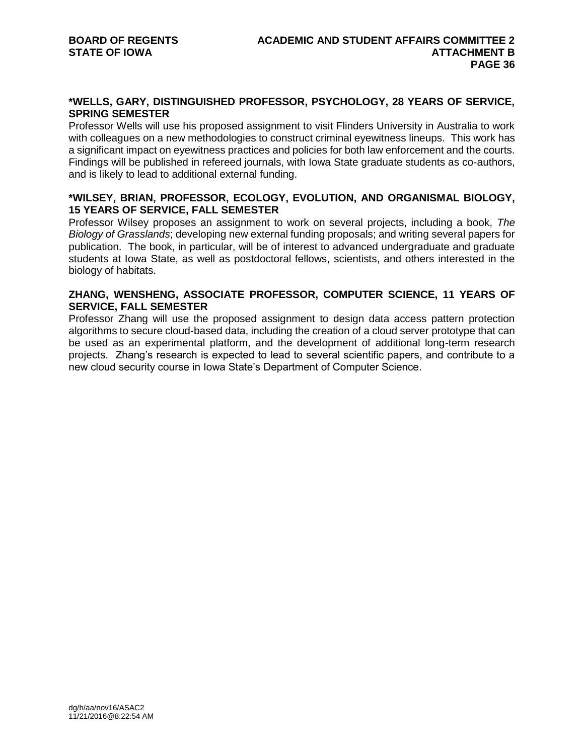# **\*WELLS, GARY, DISTINGUISHED PROFESSOR, PSYCHOLOGY, 28 YEARS OF SERVICE, SPRING SEMESTER**

Professor Wells will use his proposed assignment to visit Flinders University in Australia to work with colleagues on a new methodologies to construct criminal eyewitness lineups. This work has a significant impact on eyewitness practices and policies for both law enforcement and the courts. Findings will be published in refereed journals, with Iowa State graduate students as co-authors, and is likely to lead to additional external funding.

# **\*WILSEY, BRIAN, PROFESSOR, ECOLOGY, EVOLUTION, AND ORGANISMAL BIOLOGY, 15 YEARS OF SERVICE, FALL SEMESTER**

Professor Wilsey proposes an assignment to work on several projects, including a book, *The Biology of Grasslands*; developing new external funding proposals; and writing several papers for publication. The book, in particular, will be of interest to advanced undergraduate and graduate students at Iowa State, as well as postdoctoral fellows, scientists, and others interested in the biology of habitats.

# **ZHANG, WENSHENG, ASSOCIATE PROFESSOR, COMPUTER SCIENCE, 11 YEARS OF SERVICE, FALL SEMESTER**

Professor Zhang will use the proposed assignment to design data access pattern protection algorithms to secure cloud-based data, including the creation of a cloud server prototype that can be used as an experimental platform, and the development of additional long-term research projects. Zhang's research is expected to lead to several scientific papers, and contribute to a new cloud security course in Iowa State's Department of Computer Science.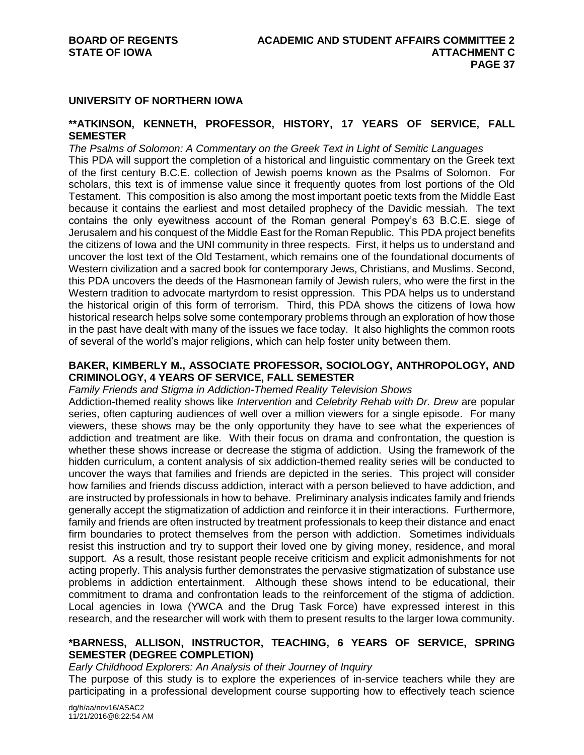#### **UNIVERSITY OF NORTHERN IOWA**

#### **\*\*ATKINSON, KENNETH, PROFESSOR, HISTORY, 17 YEARS OF SERVICE, FALL SEMESTER**

*The Psalms of Solomon: A Commentary on the Greek Text in Light of Semitic Languages* This PDA will support the completion of a historical and linguistic commentary on the Greek text of the first century B.C.E. collection of Jewish poems known as the Psalms of Solomon. For scholars, this text is of immense value since it frequently quotes from lost portions of the Old Testament. This composition is also among the most important poetic texts from the Middle East because it contains the earliest and most detailed prophecy of the Davidic messiah. The text contains the only eyewitness account of the Roman general Pompey's 63 B.C.E. siege of Jerusalem and his conquest of the Middle East for the Roman Republic. This PDA project benefits the citizens of Iowa and the UNI community in three respects. First, it helps us to understand and uncover the lost text of the Old Testament, which remains one of the foundational documents of Western civilization and a sacred book for contemporary Jews, Christians, and Muslims. Second, this PDA uncovers the deeds of the Hasmonean family of Jewish rulers, who were the first in the Western tradition to advocate martyrdom to resist oppression. This PDA helps us to understand the historical origin of this form of terrorism. Third, this PDA shows the citizens of Iowa how historical research helps solve some contemporary problems through an exploration of how those in the past have dealt with many of the issues we face today. It also highlights the common roots of several of the world's major religions, which can help foster unity between them.

#### **BAKER, KIMBERLY M., ASSOCIATE PROFESSOR, SOCIOLOGY, ANTHROPOLOGY, AND CRIMINOLOGY, 4 YEARS OF SERVICE, FALL SEMESTER**

*Family Friends and Stigma in Addiction-Themed Reality Television Shows*

Addiction-themed reality shows like *Intervention* and *Celebrity Rehab with Dr. Drew* are popular series, often capturing audiences of well over a million viewers for a single episode. For many viewers, these shows may be the only opportunity they have to see what the experiences of addiction and treatment are like. With their focus on drama and confrontation, the question is whether these shows increase or decrease the stigma of addiction. Using the framework of the hidden curriculum, a content analysis of six addiction-themed reality series will be conducted to uncover the ways that families and friends are depicted in the series. This project will consider how families and friends discuss addiction, interact with a person believed to have addiction, and are instructed by professionals in how to behave. Preliminary analysis indicates family and friends generally accept the stigmatization of addiction and reinforce it in their interactions. Furthermore, family and friends are often instructed by treatment professionals to keep their distance and enact firm boundaries to protect themselves from the person with addiction. Sometimes individuals resist this instruction and try to support their loved one by giving money, residence, and moral support. As a result, those resistant people receive criticism and explicit admonishments for not acting properly. This analysis further demonstrates the pervasive stigmatization of substance use problems in addiction entertainment. Although these shows intend to be educational, their commitment to drama and confrontation leads to the reinforcement of the stigma of addiction. Local agencies in Iowa (YWCA and the Drug Task Force) have expressed interest in this research, and the researcher will work with them to present results to the larger Iowa community.

# **\*BARNESS, ALLISON, INSTRUCTOR, TEACHING, 6 YEARS OF SERVICE, SPRING SEMESTER (DEGREE COMPLETION)**

*Early Childhood Explorers: An Analysis of their Journey of Inquiry*

The purpose of this study is to explore the experiences of in-service teachers while they are participating in a professional development course supporting how to effectively teach science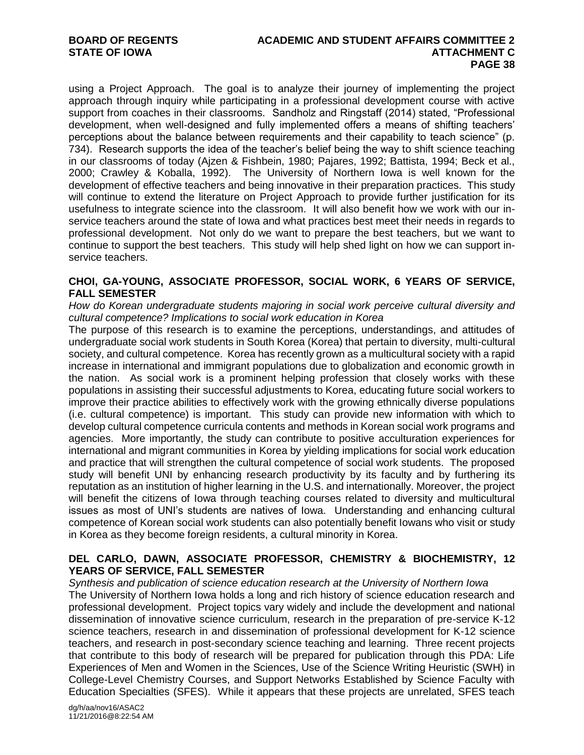using a Project Approach. The goal is to analyze their journey of implementing the project approach through inquiry while participating in a professional development course with active support from coaches in their classrooms. Sandholz and Ringstaff (2014) stated, "Professional development, when well-designed and fully implemented offers a means of shifting teachers' perceptions about the balance between requirements and their capability to teach science" (p. 734). Research supports the idea of the teacher's belief being the way to shift science teaching in our classrooms of today (Ajzen & Fishbein, 1980; Pajares, 1992; Battista, 1994; Beck et al., 2000; Crawley & Koballa, 1992). The University of Northern Iowa is well known for the development of effective teachers and being innovative in their preparation practices. This study will continue to extend the literature on Project Approach to provide further justification for its usefulness to integrate science into the classroom. It will also benefit how we work with our inservice teachers around the state of Iowa and what practices best meet their needs in regards to professional development. Not only do we want to prepare the best teachers, but we want to continue to support the best teachers. This study will help shed light on how we can support inservice teachers.

# **CHOI, GA-YOUNG, ASSOCIATE PROFESSOR, SOCIAL WORK, 6 YEARS OF SERVICE, FALL SEMESTER**

*How do Korean undergraduate students majoring in social work perceive cultural diversity and cultural competence? Implications to social work education in Korea*

The purpose of this research is to examine the perceptions, understandings, and attitudes of undergraduate social work students in South Korea (Korea) that pertain to diversity, multi-cultural society, and cultural competence. Korea has recently grown as a multicultural society with a rapid increase in international and immigrant populations due to globalization and economic growth in the nation. As social work is a prominent helping profession that closely works with these populations in assisting their successful adjustments to Korea, educating future social workers to improve their practice abilities to effectively work with the growing ethnically diverse populations (i.e. cultural competence) is important. This study can provide new information with which to develop cultural competence curricula contents and methods in Korean social work programs and agencies. More importantly, the study can contribute to positive acculturation experiences for international and migrant communities in Korea by yielding implications for social work education and practice that will strengthen the cultural competence of social work students. The proposed study will benefit UNI by enhancing research productivity by its faculty and by furthering its reputation as an institution of higher learning in the U.S. and internationally. Moreover, the project will benefit the citizens of Iowa through teaching courses related to diversity and multicultural issues as most of UNI's students are natives of Iowa. Understanding and enhancing cultural competence of Korean social work students can also potentially benefit Iowans who visit or study in Korea as they become foreign residents, a cultural minority in Korea.

# **DEL CARLO, DAWN, ASSOCIATE PROFESSOR, CHEMISTRY & BIOCHEMISTRY, 12 YEARS OF SERVICE, FALL SEMESTER**

*Synthesis and publication of science education research at the University of Northern Iowa*

The University of Northern Iowa holds a long and rich history of science education research and professional development. Project topics vary widely and include the development and national dissemination of innovative science curriculum, research in the preparation of pre-service K-12 science teachers, research in and dissemination of professional development for K-12 science teachers, and research in post-secondary science teaching and learning. Three recent projects that contribute to this body of research will be prepared for publication through this PDA: Life Experiences of Men and Women in the Sciences, Use of the Science Writing Heuristic (SWH) in College-Level Chemistry Courses, and Support Networks Established by Science Faculty with Education Specialties (SFES). While it appears that these projects are unrelated, SFES teach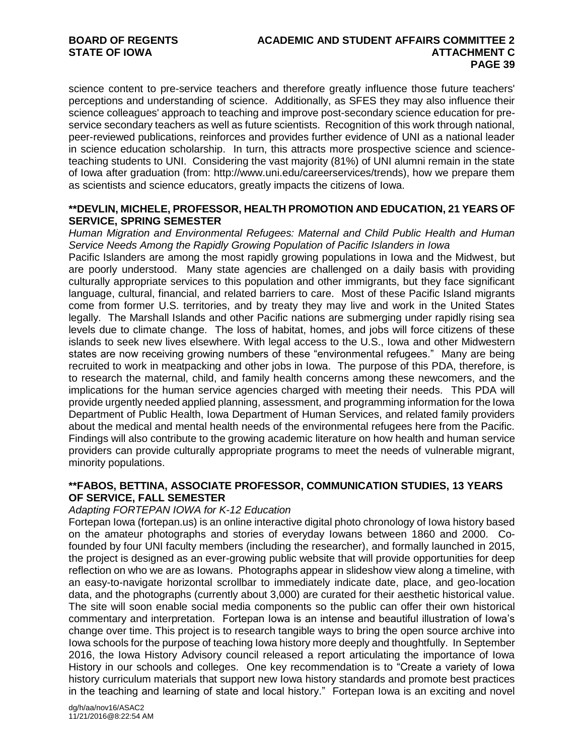science content to pre-service teachers and therefore greatly influence those future teachers' perceptions and understanding of science. Additionally, as SFES they may also influence their science colleagues' approach to teaching and improve post-secondary science education for preservice secondary teachers as well as future scientists. Recognition of this work through national, peer-reviewed publications, reinforces and provides further evidence of UNI as a national leader in science education scholarship. In turn, this attracts more prospective science and scienceteaching students to UNI. Considering the vast majority (81%) of UNI alumni remain in the state of Iowa after graduation (from: http://www.uni.edu/careerservices/trends), how we prepare them as scientists and science educators, greatly impacts the citizens of Iowa.

#### **\*\*DEVLIN, MICHELE, PROFESSOR, HEALTH PROMOTION AND EDUCATION, 21 YEARS OF SERVICE, SPRING SEMESTER**

*Human Migration and Environmental Refugees: Maternal and Child Public Health and Human Service Needs Among the Rapidly Growing Population of Pacific Islanders in Iowa* 

Pacific Islanders are among the most rapidly growing populations in Iowa and the Midwest, but are poorly understood. Many state agencies are challenged on a daily basis with providing culturally appropriate services to this population and other immigrants, but they face significant language, cultural, financial, and related barriers to care. Most of these Pacific Island migrants come from former U.S. territories, and by treaty they may live and work in the United States legally. The Marshall Islands and other Pacific nations are submerging under rapidly rising sea levels due to climate change. The loss of habitat, homes, and jobs will force citizens of these islands to seek new lives elsewhere. With legal access to the U.S., Iowa and other Midwestern states are now receiving growing numbers of these "environmental refugees." Many are being recruited to work in meatpacking and other jobs in Iowa. The purpose of this PDA, therefore, is to research the maternal, child, and family health concerns among these newcomers, and the implications for the human service agencies charged with meeting their needs. This PDA will provide urgently needed applied planning, assessment, and programming information for the Iowa Department of Public Health, Iowa Department of Human Services, and related family providers about the medical and mental health needs of the environmental refugees here from the Pacific. Findings will also contribute to the growing academic literature on how health and human service providers can provide culturally appropriate programs to meet the needs of vulnerable migrant, minority populations.

#### **\*\*FABOS, BETTINA, ASSOCIATE PROFESSOR, COMMUNICATION STUDIES, 13 YEARS OF SERVICE, FALL SEMESTER**

#### *Adapting FORTEPAN IOWA for K-12 Education*

Fortepan Iowa (fortepan.us) is an online interactive digital photo chronology of Iowa history based on the amateur photographs and stories of everyday Iowans between 1860 and 2000. Cofounded by four UNI faculty members (including the researcher), and formally launched in 2015, the project is designed as an ever-growing public website that will provide opportunities for deep reflection on who we are as Iowans. Photographs appear in slideshow view along a timeline, with an easy-to-navigate horizontal scrollbar to immediately indicate date, place, and geo-location data, and the photographs (currently about 3,000) are curated for their aesthetic historical value. The site will soon enable social media components so the public can offer their own historical commentary and interpretation. Fortepan Iowa is an intense and beautiful illustration of Iowa's change over time. This project is to research tangible ways to bring the open source archive into Iowa schools for the purpose of teaching Iowa history more deeply and thoughtfully. In September 2016, the Iowa History Advisory council released a report articulating the importance of Iowa History in our schools and colleges. One key recommendation is to "Create a variety of Iowa history curriculum materials that support new Iowa history standards and promote best practices in the teaching and learning of state and local history." Fortepan Iowa is an exciting and novel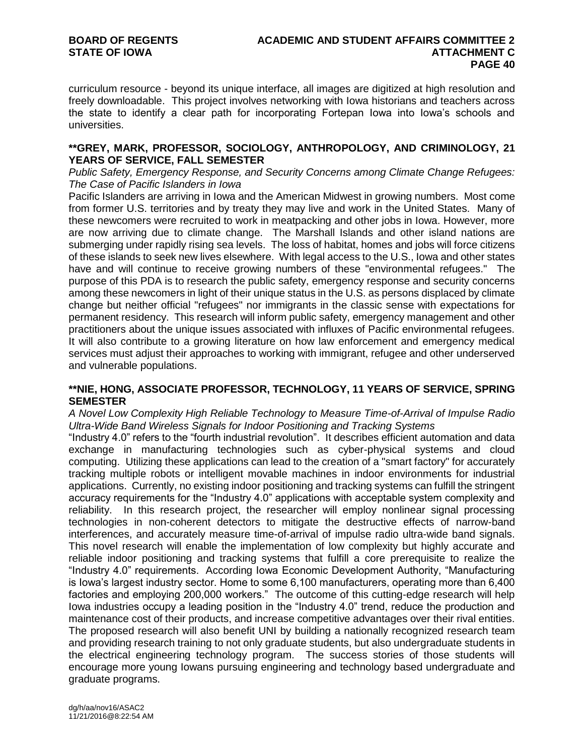curriculum resource - beyond its unique interface, all images are digitized at high resolution and freely downloadable. This project involves networking with Iowa historians and teachers across the state to identify a clear path for incorporating Fortepan Iowa into Iowa's schools and universities.

#### **\*\*GREY, MARK, PROFESSOR, SOCIOLOGY, ANTHROPOLOGY, AND CRIMINOLOGY, 21 YEARS OF SERVICE, FALL SEMESTER**

*Public Safety, Emergency Response, and Security Concerns among Climate Change Refugees: The Case of Pacific Islanders in Iowa*

Pacific Islanders are arriving in Iowa and the American Midwest in growing numbers. Most come from former U.S. territories and by treaty they may live and work in the United States. Many of these newcomers were recruited to work in meatpacking and other jobs in Iowa. However, more are now arriving due to climate change. The Marshall Islands and other island nations are submerging under rapidly rising sea levels. The loss of habitat, homes and jobs will force citizens of these islands to seek new lives elsewhere. With legal access to the U.S., Iowa and other states have and will continue to receive growing numbers of these "environmental refugees." The purpose of this PDA is to research the public safety, emergency response and security concerns among these newcomers in light of their unique status in the U.S. as persons displaced by climate change but neither official "refugees" nor immigrants in the classic sense with expectations for permanent residency. This research will inform public safety, emergency management and other practitioners about the unique issues associated with influxes of Pacific environmental refugees. It will also contribute to a growing literature on how law enforcement and emergency medical services must adjust their approaches to working with immigrant, refugee and other underserved and vulnerable populations.

# **\*\*NIE, HONG, ASSOCIATE PROFESSOR, TECHNOLOGY, 11 YEARS OF SERVICE, SPRING SEMESTER**

#### *A Novel Low Complexity High Reliable Technology to Measure Time-of-Arrival of Impulse Radio Ultra-Wide Band Wireless Signals for Indoor Positioning and Tracking Systems*

"Industry 4.0" refers to the "fourth industrial revolution". It describes efficient automation and data exchange in manufacturing technologies such as cyber-physical systems and cloud computing. Utilizing these applications can lead to the creation of a "smart factory" for accurately tracking multiple robots or intelligent movable machines in indoor environments for industrial applications. Currently, no existing indoor positioning and tracking systems can fulfill the stringent accuracy requirements for the "Industry 4.0" applications with acceptable system complexity and reliability. In this research project, the researcher will employ nonlinear signal processing technologies in non-coherent detectors to mitigate the destructive effects of narrow-band interferences, and accurately measure time-of-arrival of impulse radio ultra-wide band signals. This novel research will enable the implementation of low complexity but highly accurate and reliable indoor positioning and tracking systems that fulfill a core prerequisite to realize the "Industry 4.0" requirements. According Iowa Economic Development Authority, "Manufacturing is Iowa's largest industry sector. Home to some 6,100 manufacturers, operating more than 6,400 factories and employing 200,000 workers." The outcome of this cutting-edge research will help Iowa industries occupy a leading position in the "Industry 4.0" trend, reduce the production and maintenance cost of their products, and increase competitive advantages over their rival entities. The proposed research will also benefit UNI by building a nationally recognized research team and providing research training to not only graduate students, but also undergraduate students in the electrical engineering technology program. The success stories of those students will encourage more young Iowans pursuing engineering and technology based undergraduate and graduate programs.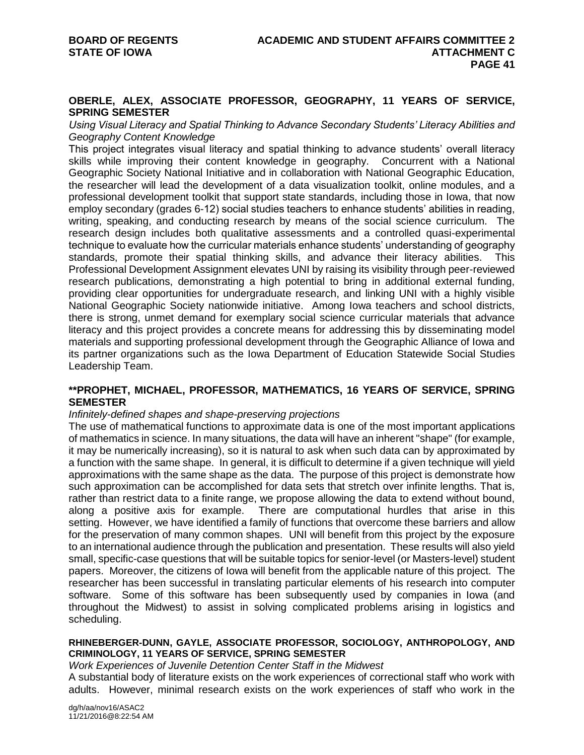#### **OBERLE, ALEX, ASSOCIATE PROFESSOR, GEOGRAPHY, 11 YEARS OF SERVICE, SPRING SEMESTER**

*Using Visual Literacy and Spatial Thinking to Advance Secondary Students' Literacy Abilities and Geography Content Knowledge*

This project integrates visual literacy and spatial thinking to advance students' overall literacy skills while improving their content knowledge in geography. Concurrent with a National Geographic Society National Initiative and in collaboration with National Geographic Education, the researcher will lead the development of a data visualization toolkit, online modules, and a professional development toolkit that support state standards, including those in Iowa, that now employ secondary (grades 6-12) social studies teachers to enhance students' abilities in reading, writing, speaking, and conducting research by means of the social science curriculum. The research design includes both qualitative assessments and a controlled quasi-experimental technique to evaluate how the curricular materials enhance students' understanding of geography standards, promote their spatial thinking skills, and advance their literacy abilities. This Professional Development Assignment elevates UNI by raising its visibility through peer-reviewed research publications, demonstrating a high potential to bring in additional external funding, providing clear opportunities for undergraduate research, and linking UNI with a highly visible National Geographic Society nationwide initiative. Among Iowa teachers and school districts, there is strong, unmet demand for exemplary social science curricular materials that advance literacy and this project provides a concrete means for addressing this by disseminating model materials and supporting professional development through the Geographic Alliance of Iowa and its partner organizations such as the Iowa Department of Education Statewide Social Studies Leadership Team.

#### **\*\*PROPHET, MICHAEL, PROFESSOR, MATHEMATICS, 16 YEARS OF SERVICE, SPRING SEMESTER**

#### *Infinitely-defined shapes and shape-preserving projections*

The use of mathematical functions to approximate data is one of the most important applications of mathematics in science. In many situations, the data will have an inherent "shape" (for example, it may be numerically increasing), so it is natural to ask when such data can by approximated by a function with the same shape. In general, it is difficult to determine if a given technique will yield approximations with the same shape as the data. The purpose of this project is demonstrate how such approximation can be accomplished for data sets that stretch over infinite lengths. That is, rather than restrict data to a finite range, we propose allowing the data to extend without bound, along a positive axis for example. There are computational hurdles that arise in this setting. However, we have identified a family of functions that overcome these barriers and allow for the preservation of many common shapes. UNI will benefit from this project by the exposure to an international audience through the publication and presentation. These results will also yield small, specific-case questions that will be suitable topics for senior-level (or Masters-level) student papers. Moreover, the citizens of Iowa will benefit from the applicable nature of this project. The researcher has been successful in translating particular elements of his research into computer software. Some of this software has been subsequently used by companies in Iowa (and throughout the Midwest) to assist in solving complicated problems arising in logistics and scheduling.

#### **RHINEBERGER-DUNN, GAYLE, ASSOCIATE PROFESSOR, SOCIOLOGY, ANTHROPOLOGY, AND CRIMINOLOGY, 11 YEARS OF SERVICE, SPRING SEMESTER**

#### *Work Experiences of Juvenile Detention Center Staff in the Midwest*

A substantial body of literature exists on the work experiences of correctional staff who work with adults. However, minimal research exists on the work experiences of staff who work in the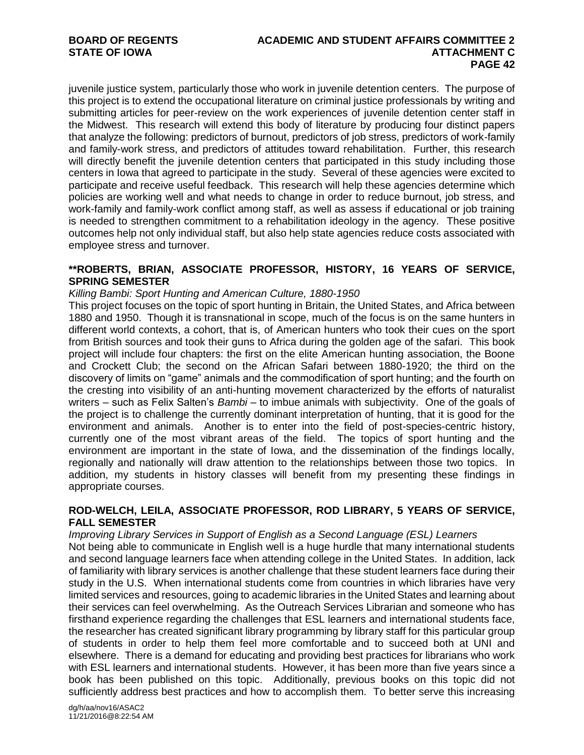juvenile justice system, particularly those who work in juvenile detention centers. The purpose of this project is to extend the occupational literature on criminal justice professionals by writing and submitting articles for peer-review on the work experiences of juvenile detention center staff in the Midwest. This research will extend this body of literature by producing four distinct papers that analyze the following: predictors of burnout, predictors of job stress, predictors of work-family and family-work stress, and predictors of attitudes toward rehabilitation. Further, this research will directly benefit the juvenile detention centers that participated in this study including those centers in Iowa that agreed to participate in the study. Several of these agencies were excited to participate and receive useful feedback. This research will help these agencies determine which policies are working well and what needs to change in order to reduce burnout, job stress, and work-family and family-work conflict among staff, as well as assess if educational or job training is needed to strengthen commitment to a rehabilitation ideology in the agency. These positive outcomes help not only individual staff, but also help state agencies reduce costs associated with employee stress and turnover.

# **\*\*ROBERTS, BRIAN, ASSOCIATE PROFESSOR, HISTORY, 16 YEARS OF SERVICE, SPRING SEMESTER**

#### *Killing Bambi: Sport Hunting and American Culture, 1880-1950*

This project focuses on the topic of sport hunting in Britain, the United States, and Africa between 1880 and 1950. Though it is transnational in scope, much of the focus is on the same hunters in different world contexts, a cohort, that is, of American hunters who took their cues on the sport from British sources and took their guns to Africa during the golden age of the safari. This book project will include four chapters: the first on the elite American hunting association, the Boone and Crockett Club; the second on the African Safari between 1880-1920; the third on the discovery of limits on "game" animals and the commodification of sport hunting; and the fourth on the cresting into visibility of an anti-hunting movement characterized by the efforts of naturalist writers – such as Felix Salten's *Bambi* – to imbue animals with subjectivity. One of the goals of the project is to challenge the currently dominant interpretation of hunting, that it is good for the environment and animals. Another is to enter into the field of post-species-centric history, currently one of the most vibrant areas of the field. The topics of sport hunting and the environment are important in the state of Iowa, and the dissemination of the findings locally, regionally and nationally will draw attention to the relationships between those two topics. In addition, my students in history classes will benefit from my presenting these findings in appropriate courses.

# **ROD-WELCH, LEILA, ASSOCIATE PROFESSOR, ROD LIBRARY, 5 YEARS OF SERVICE, FALL SEMESTER**

*Improving Library Services in Support of English as a Second Language (ESL) Learners* Not being able to communicate in English well is a huge hurdle that many international students and second language learners face when attending college in the United States. In addition, lack of familiarity with library services is another challenge that these student learners face during their study in the U.S. When international students come from countries in which libraries have very limited services and resources, going to academic libraries in the United States and learning about their services can feel overwhelming. As the Outreach Services Librarian and someone who has firsthand experience regarding the challenges that ESL learners and international students face, the researcher has created significant library programming by library staff for this particular group of students in order to help them feel more comfortable and to succeed both at UNI and elsewhere. There is a demand for educating and providing best practices for librarians who work with ESL learners and international students. However, it has been more than five years since a book has been published on this topic. Additionally, previous books on this topic did not sufficiently address best practices and how to accomplish them. To better serve this increasing